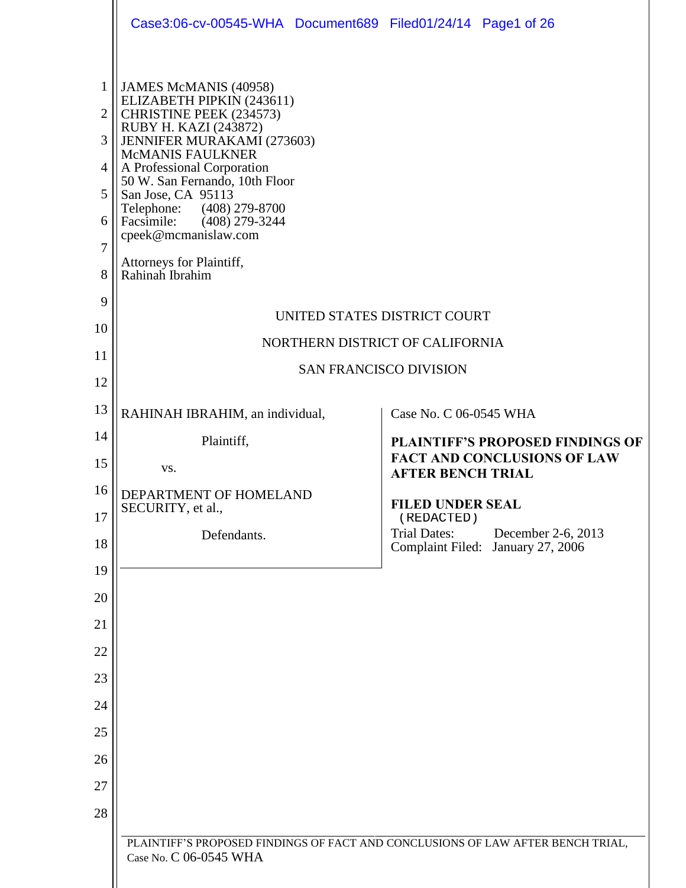|                                                                         | Case3:06-cv-00545-WHA Document689 Filed01/24/14 Page1 of 26                                                                                                                                                                                                                                                                                                                     |                                                                                                           |
|-------------------------------------------------------------------------|---------------------------------------------------------------------------------------------------------------------------------------------------------------------------------------------------------------------------------------------------------------------------------------------------------------------------------------------------------------------------------|-----------------------------------------------------------------------------------------------------------|
| $\mathbf{1}$<br>$\overline{2}$<br>3<br>4<br>5<br>6<br>7<br>8<br>9<br>10 | JAMES McMANIS (40958)<br>ELIZABETH PIPKIN (243611)<br>CHRISTINE PEEK (234573)<br>RUBY H. KAZI (243872)<br>JENNIFER MURAKAMI (273603)<br>McMANIS FAULKNER<br>A Professional Corporation<br>50 W. San Fernando, 10th Floor<br>San Jose, CA 95113<br>Telephone: (408) 279-8700<br>Facsimile: (408) 279-3244<br>cpeek@mcmanislaw.com<br>Attorneys for Plaintiff,<br>Rahinah Ibrahim | UNITED STATES DISTRICT COURT                                                                              |
| 11                                                                      |                                                                                                                                                                                                                                                                                                                                                                                 | NORTHERN DISTRICT OF CALIFORNIA                                                                           |
| 12                                                                      |                                                                                                                                                                                                                                                                                                                                                                                 | <b>SAN FRANCISCO DIVISION</b>                                                                             |
| 13                                                                      | RAHINAH IBRAHIM, an individual,                                                                                                                                                                                                                                                                                                                                                 | Case No. C 06-0545 WHA                                                                                    |
| 14                                                                      | Plaintiff,                                                                                                                                                                                                                                                                                                                                                                      |                                                                                                           |
| 15                                                                      | VS.                                                                                                                                                                                                                                                                                                                                                                             | <b>PLAINTIFF'S PROPOSED FINDINGS OF</b><br><b>FACT AND CONCLUSIONS OF LAW</b><br><b>AFTER BENCH TRIAL</b> |
| 16                                                                      | DEPARTMENT OF HOMELAND                                                                                                                                                                                                                                                                                                                                                          | <b>FILED UNDER SEAL</b>                                                                                   |
| 17                                                                      | SECURITY, et al.,                                                                                                                                                                                                                                                                                                                                                               | (REDACTED)                                                                                                |
| 18                                                                      | Defendants.                                                                                                                                                                                                                                                                                                                                                                     | <b>Trial Dates:</b><br>December 2-6, 2013<br>Complaint Filed: January 27, 2006                            |
| 19                                                                      |                                                                                                                                                                                                                                                                                                                                                                                 |                                                                                                           |
| 20                                                                      |                                                                                                                                                                                                                                                                                                                                                                                 |                                                                                                           |
| 21                                                                      |                                                                                                                                                                                                                                                                                                                                                                                 |                                                                                                           |
| 22<br>23                                                                |                                                                                                                                                                                                                                                                                                                                                                                 |                                                                                                           |
| 24                                                                      |                                                                                                                                                                                                                                                                                                                                                                                 |                                                                                                           |
| 25                                                                      |                                                                                                                                                                                                                                                                                                                                                                                 |                                                                                                           |
| 26                                                                      |                                                                                                                                                                                                                                                                                                                                                                                 |                                                                                                           |
| 27                                                                      |                                                                                                                                                                                                                                                                                                                                                                                 |                                                                                                           |
| 28                                                                      |                                                                                                                                                                                                                                                                                                                                                                                 |                                                                                                           |
|                                                                         | PLAINTIFF'S PROPOSED FINDINGS OF FACT AND CONCLUSIONS OF LAW AFTER BENCH TRIAL,<br>Case No. C 06-0545 WHA                                                                                                                                                                                                                                                                       |                                                                                                           |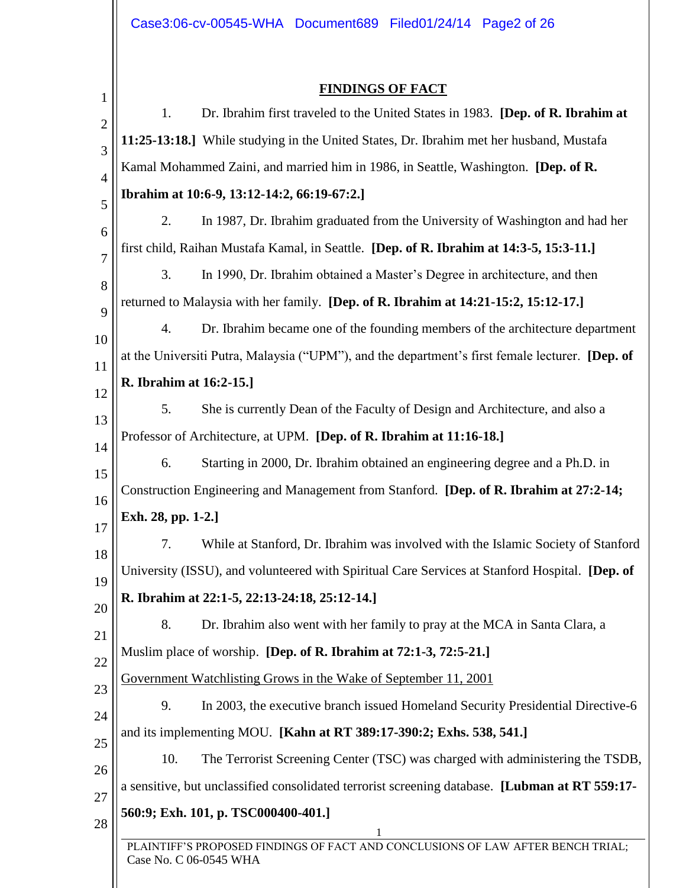| $\mathbf{1}$   |                         | <b>FINDINGS OF FACT</b>                                                                         |
|----------------|-------------------------|-------------------------------------------------------------------------------------------------|
| $\overline{2}$ | 1.                      | Dr. Ibrahim first traveled to the United States in 1983. [Dep. of R. Ibrahim at                 |
| 3              |                         | 11:25-13:18.] While studying in the United States, Dr. Ibrahim met her husband, Mustafa         |
| $\overline{4}$ |                         | Kamal Mohammed Zaini, and married him in 1986, in Seattle, Washington. [Dep. of R.              |
| 5              |                         | Ibrahim at 10:6-9, 13:12-14:2, 66:19-67:2.]                                                     |
| 6              | 2.                      | In 1987, Dr. Ibrahim graduated from the University of Washington and had her                    |
| 7              |                         | first child, Raihan Mustafa Kamal, in Seattle. [Dep. of R. Ibrahim at 14:3-5, 15:3-11.]         |
| 8              | 3.                      | In 1990, Dr. Ibrahim obtained a Master's Degree in architecture, and then                       |
| 9              |                         | returned to Malaysia with her family. [Dep. of R. Ibrahim at 14:21-15:2, 15:12-17.]             |
| 10             | 4.                      | Dr. Ibrahim became one of the founding members of the architecture department                   |
| 11             |                         | at the Universiti Putra, Malaysia ("UPM"), and the department's first female lecturer. [Dep. of |
| 12             | R. Ibrahim at 16:2-15.] |                                                                                                 |
| 13             | 5.                      | She is currently Dean of the Faculty of Design and Architecture, and also a                     |
| 14             |                         | Professor of Architecture, at UPM. [Dep. of R. Ibrahim at 11:16-18.]                            |
| 15             | 6.                      | Starting in 2000, Dr. Ibrahim obtained an engineering degree and a Ph.D. in                     |
| 16             |                         | Construction Engineering and Management from Stanford. [Dep. of R. Ibrahim at 27:2-14;          |
| 17             | Exh. 28, pp. 1-2.]      |                                                                                                 |
| 18             | 7.                      | While at Stanford, Dr. Ibrahim was involved with the Islamic Society of Stanford                |
| 19             |                         | University (ISSU), and volunteered with Spiritual Care Services at Stanford Hospital. [Dep. of  |
| 20             |                         | R. Ibrahim at 22:1-5, 22:13-24:18, 25:12-14.]                                                   |
| 21             | 8.                      | Dr. Ibrahim also went with her family to pray at the MCA in Santa Clara, a                      |
| 22             |                         | Muslim place of worship. [Dep. of R. Ibrahim at 72:1-3, 72:5-21.]                               |
| 23             |                         | Government Watchlisting Grows in the Wake of September 11, 2001                                 |
| 24             | 9.                      | In 2003, the executive branch issued Homeland Security Presidential Directive-6                 |
| 25             |                         | and its implementing MOU. [Kahn at RT 389:17-390:2; Exhs. 538, 541.]                            |
| 26             | 10.                     | The Terrorist Screening Center (TSC) was charged with administering the TSDB,                   |
| 27             |                         | a sensitive, but unclassified consolidated terrorist screening database. [Lubman at RT 559:17-  |
| 28             |                         | 560:9; Exh. 101, p. TSC000400-401.]                                                             |
|                | Case No. C 06-0545 WHA  | PLAINTIFF'S PROPOSED FINDINGS OF FACT AND CONCLUSIONS OF LAW AFTER BENCH TRIAL;                 |
|                |                         |                                                                                                 |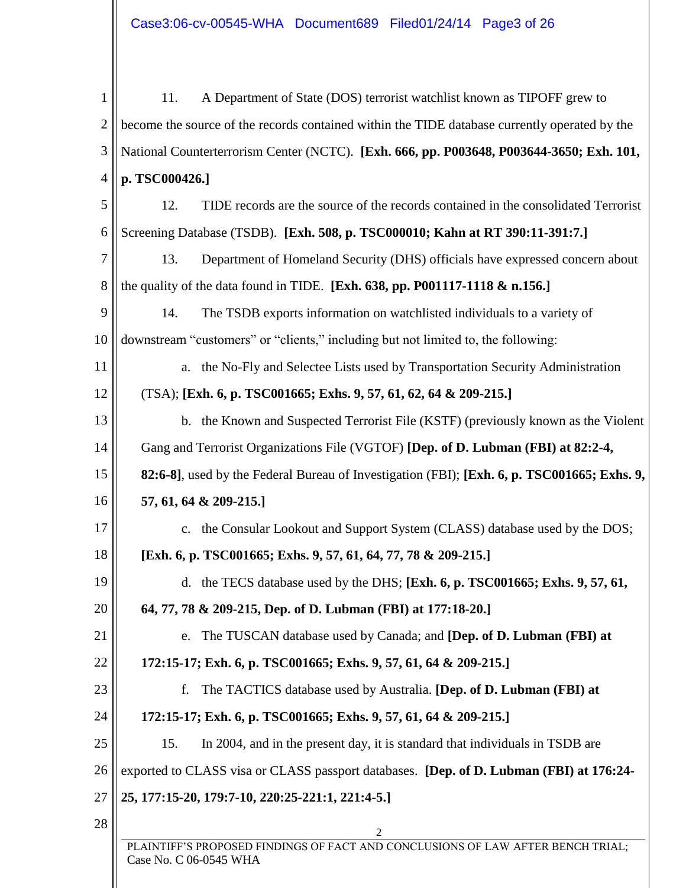| 1              | 11.<br>A Department of State (DOS) terrorist watchlist known as TIPOFF grew to                                 |  |  |
|----------------|----------------------------------------------------------------------------------------------------------------|--|--|
| $\overline{2}$ | become the source of the records contained within the TIDE database currently operated by the                  |  |  |
| 3              | National Counterterrorism Center (NCTC). [Exh. 666, pp. P003648, P003644-3650; Exh. 101,                       |  |  |
| 4              | p. TSC000426.]                                                                                                 |  |  |
| 5              | 12.<br>TIDE records are the source of the records contained in the consolidated Terrorist                      |  |  |
| 6              | Screening Database (TSDB). [Exh. 508, p. TSC000010; Kahn at RT 390:11-391:7.]                                  |  |  |
| 7              | 13.<br>Department of Homeland Security (DHS) officials have expressed concern about                            |  |  |
| 8              | the quality of the data found in TIDE. [Exh. $638$ , pp. P001117-1118 & n.156.]                                |  |  |
| 9              | 14.<br>The TSDB exports information on watchlisted individuals to a variety of                                 |  |  |
| 10             | downstream "customers" or "clients," including but not limited to, the following:                              |  |  |
| 11             | a. the No-Fly and Selectee Lists used by Transportation Security Administration                                |  |  |
| 12             | $(TSA)$ ; [Exh. 6, p. TSC001665; Exhs. 9, 57, 61, 62, 64 & 209-215.]                                           |  |  |
| 13             | b. the Known and Suspected Terrorist File (KSTF) (previously known as the Violent                              |  |  |
| 14             | Gang and Terrorist Organizations File (VGTOF) [Dep. of D. Lubman (FBI) at 82:2-4,                              |  |  |
| 15             | 82:6-8], used by the Federal Bureau of Investigation (FBI); [Exh. 6, p. TSC001665; Exhs. 9,                    |  |  |
| 16             | 57, 61, 64 & 209-215.]                                                                                         |  |  |
| 17             | c. the Consular Lookout and Support System (CLASS) database used by the DOS;                                   |  |  |
| 18             | [Exh. 6, p. TSC001665; Exhs. 9, 57, 61, 64, 77, 78 & 209-215.]                                                 |  |  |
| 19             | d. the TECS database used by the DHS; [Exh. 6, p. TSC001665; Exhs. 9, 57, 61,                                  |  |  |
| 20             | 64, 77, 78 & 209-215, Dep. of D. Lubman (FBI) at 177:18-20.                                                    |  |  |
| 21             | The TUSCAN database used by Canada; and <b>[Dep. of D. Lubman (FBI)</b> at<br>e.                               |  |  |
| 22             | 172:15-17; Exh. 6, p. TSC001665; Exhs. 9, 57, 61, 64 & 209-215.]                                               |  |  |
| 23             | The TACTICS database used by Australia. [Dep. of D. Lubman (FBI) at<br>f.                                      |  |  |
| 24             | 172:15-17; Exh. 6, p. TSC001665; Exhs. 9, 57, 61, 64 & 209-215.]                                               |  |  |
| 25             | 15.<br>In 2004, and in the present day, it is standard that individuals in TSDB are                            |  |  |
| 26             | exported to CLASS visa or CLASS passport databases. [Dep. of D. Lubman (FBI) at 176:24-                        |  |  |
| 27             | 25, 177:15-20, 179:7-10, 220:25-221:1, 221:4-5.]                                                               |  |  |
| 28             | 2<br>PLAINTIFF'S PROPOSED FINDINGS OF FACT AND CONCLUSIONS OF LAW AFTER BENCH TRIAL;<br>Case No. C 06-0545 WHA |  |  |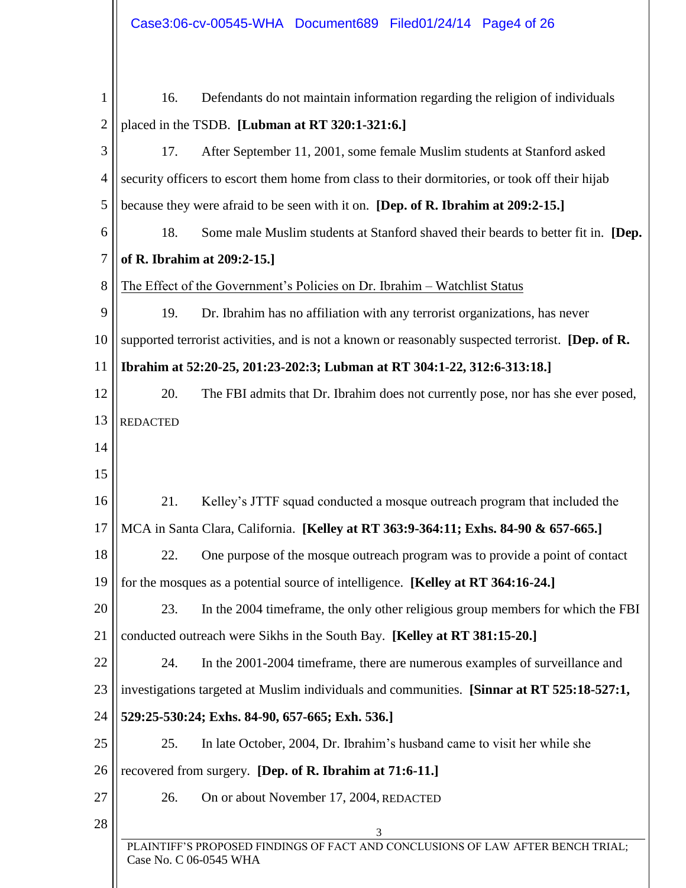| 1              | 16.                         | Defendants do not maintain information regarding the religion of individuals                      |
|----------------|-----------------------------|---------------------------------------------------------------------------------------------------|
| $\overline{2}$ |                             | placed in the TSDB. [Lubman at RT 320:1-321:6.]                                                   |
| 3              | 17.                         | After September 11, 2001, some female Muslim students at Stanford asked                           |
| $\overline{4}$ |                             | security officers to escort them home from class to their dormitories, or took off their hijab    |
| 5              |                             | because they were afraid to be seen with it on. [Dep. of R. Ibrahim at 209:2-15.]                 |
| 6              | 18.                         | Some male Muslim students at Stanford shaved their beards to better fit in. [Dep.                 |
| 7              | of R. Ibrahim at 209:2-15.] |                                                                                                   |
| 8              |                             | The Effect of the Government's Policies on Dr. Ibrahim – Watchlist Status                         |
| 9              | 19.                         | Dr. Ibrahim has no affiliation with any terrorist organizations, has never                        |
| 10             |                             | supported terrorist activities, and is not a known or reasonably suspected terrorist. [Dep. of R. |
| 11             |                             | Ibrahim at 52:20-25, 201:23-202:3; Lubman at RT 304:1-22, 312:6-313:18.]                          |
| 12             | 20.                         | The FBI admits that Dr. Ibrahim does not currently pose, nor has she ever posed,                  |
| 13             | <b>REDACTED</b>             |                                                                                                   |
| 14             |                             |                                                                                                   |
| 15             |                             |                                                                                                   |
| 16             | 21.                         | Kelley's JTTF squad conducted a mosque outreach program that included the                         |
| 17             |                             | MCA in Santa Clara, California. [Kelley at RT 363:9-364:11; Exhs. 84-90 & 657-665.]               |
| 18             | 22.                         | One purpose of the mosque outreach program was to provide a point of contact                      |
| 19             |                             | for the mosques as a potential source of intelligence. [Kelley at RT 364:16-24.]                  |
| 20             | 23.                         | In the 2004 time frame, the only other religious group members for which the FBI                  |
| 21             |                             | conducted outreach were Sikhs in the South Bay. [Kelley at RT 381:15-20.]                         |
| 22             | 24.                         | In the 2001-2004 timeframe, there are numerous examples of surveillance and                       |
| 23             |                             | investigations targeted at Muslim individuals and communities. [Sinnar at RT 525:18-527:1,        |
| 24             |                             | 529:25-530:24; Exhs. 84-90, 657-665; Exh. 536.]                                                   |
| 25             | 25.                         | In late October, 2004, Dr. Ibrahim's husband came to visit her while she                          |
| 26             |                             | recovered from surgery. [Dep. of R. Ibrahim at 71:6-11.]                                          |
| 27             | 26.                         | On or about November 17, 2004, REDACTED                                                           |
| 28             | Case No. C 06-0545 WHA      | 3<br>PLAINTIFF'S PROPOSED FINDINGS OF FACT AND CONCLUSIONS OF LAW AFTER BENCH TRIAL;              |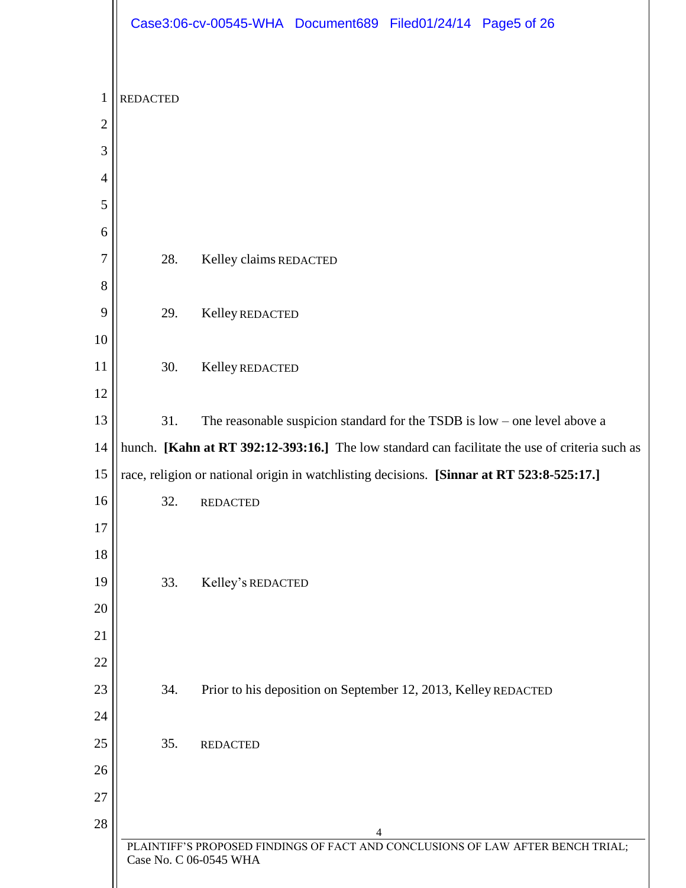|                |                 | Case3:06-cv-00545-WHA Document689 Filed01/24/14 Page5 of 26                                                    |
|----------------|-----------------|----------------------------------------------------------------------------------------------------------------|
| $\mathbf{1}$   | <b>REDACTED</b> |                                                                                                                |
| $\overline{2}$ |                 |                                                                                                                |
| 3              |                 |                                                                                                                |
| $\overline{4}$ |                 |                                                                                                                |
| 5              |                 |                                                                                                                |
| 6              |                 |                                                                                                                |
| 7              | 28.             | Kelley claims REDACTED                                                                                         |
| 8              |                 |                                                                                                                |
| 9              | 29.             | Kelley REDACTED                                                                                                |
| 10             |                 |                                                                                                                |
| 11             | 30.             | Kelley REDACTED                                                                                                |
| 12             |                 |                                                                                                                |
| 13             | 31.             | The reasonable suspicion standard for the TSDB is $low$ – one level above a                                    |
| 14             |                 | hunch. [Kahn at RT 392:12-393:16.] The low standard can facilitate the use of criteria such as                 |
| 15             |                 | race, religion or national origin in watchlisting decisions. [Sinnar at RT 523:8-525:17.]                      |
| 16             | 32              | <b>REDACTED</b>                                                                                                |
| 17             |                 |                                                                                                                |
| 18             |                 |                                                                                                                |
| 19             | 33.             | Kelley's REDACTED                                                                                              |
| 20<br>21       |                 |                                                                                                                |
| 22             |                 |                                                                                                                |
| 23             | 34.             | Prior to his deposition on September 12, 2013, Kelley REDACTED                                                 |
| 24             |                 |                                                                                                                |
| 25             | 35.             | <b>REDACTED</b>                                                                                                |
| 26             |                 |                                                                                                                |
| 27             |                 |                                                                                                                |
| 28             |                 |                                                                                                                |
|                |                 | 4<br>PLAINTIFF'S PROPOSED FINDINGS OF FACT AND CONCLUSIONS OF LAW AFTER BENCH TRIAL;<br>Case No. C 06-0545 WHA |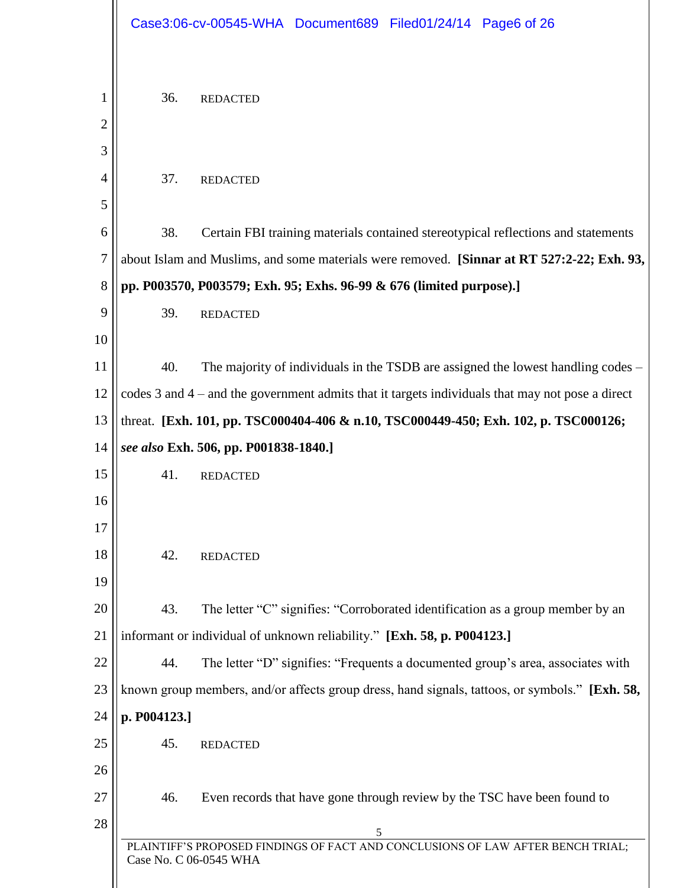|                |              | Case3:06-cv-00545-WHA Document689 Filed01/24/14 Page6 of 26                                               |
|----------------|--------------|-----------------------------------------------------------------------------------------------------------|
| 1              | 36.          | <b>REDACTED</b>                                                                                           |
| $\overline{2}$ |              |                                                                                                           |
| 3              |              |                                                                                                           |
| 4              | 37.          | <b>REDACTED</b>                                                                                           |
| 5              |              |                                                                                                           |
| 6              | 38.          | Certain FBI training materials contained stereotypical reflections and statements                         |
| 7              |              | about Islam and Muslims, and some materials were removed. [Sinnar at RT 527:2-22; Exh. 93,                |
| 8              |              | pp. P003570, P003579; Exh. 95; Exhs. 96-99 & 676 (limited purpose).]                                      |
| 9              | 39.          | <b>REDACTED</b>                                                                                           |
| 10             |              |                                                                                                           |
| 11             | 40.          | The majority of individuals in the TSDB are assigned the lowest handling codes –                          |
| 12             |              | codes 3 and 4 – and the government admits that it targets individuals that may not pose a direct          |
| 13             |              | threat. [Exh. 101, pp. TSC000404-406 & n.10, TSC000449-450; Exh. 102, p. TSC000126;                       |
| 14             |              | see also Exh. 506, pp. P001838-1840.]                                                                     |
| 15             | 41.          | <b>REDACTED</b>                                                                                           |
| 16             |              |                                                                                                           |
| 17             |              |                                                                                                           |
| 18             | 42.          | <b>REDACTED</b>                                                                                           |
| 19             |              |                                                                                                           |
| 20             | 43.          | The letter "C" signifies: "Corroborated identification as a group member by an                            |
| 21             |              | informant or individual of unknown reliability." [Exh. 58, p. P004123.]                                   |
| 22             | 44.          | The letter "D" signifies: "Frequents a documented group's area, associates with                           |
| 23             |              | known group members, and/or affects group dress, hand signals, tattoos, or symbols." [Exh. 58,            |
| 24             | p. P004123.] |                                                                                                           |
| 25             | 45.          | <b>REDACTED</b>                                                                                           |
| 26             |              |                                                                                                           |
| 27             | 46.          | Even records that have gone through review by the TSC have been found to                                  |
| 28             |              | 5                                                                                                         |
|                |              | PLAINTIFF'S PROPOSED FINDINGS OF FACT AND CONCLUSIONS OF LAW AFTER BENCH TRIAL;<br>Case No. C 06-0545 WHA |
|                |              |                                                                                                           |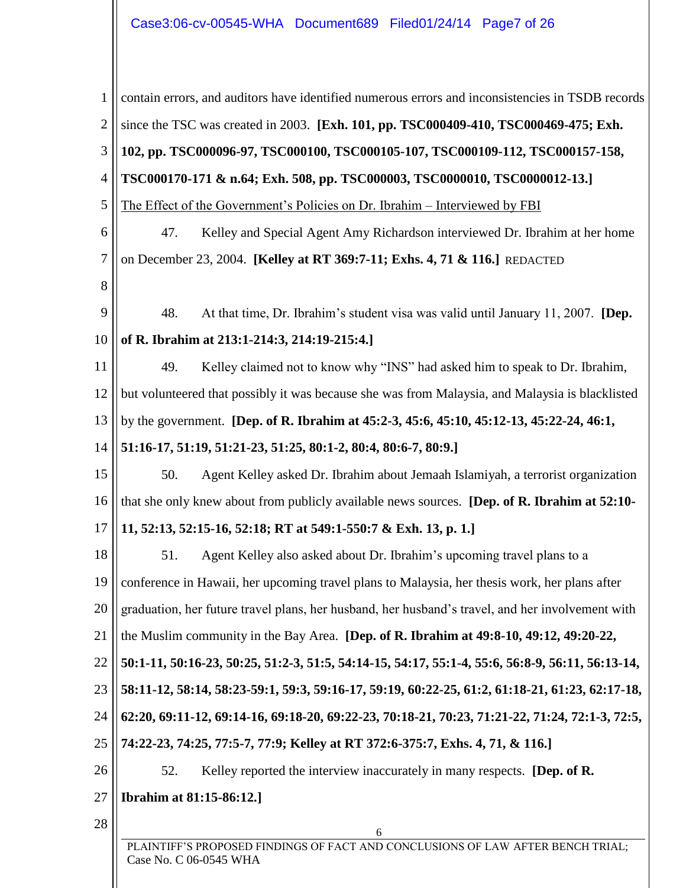| 1              | contain errors, and auditors have identified numerous errors and inconsistencies in TSDB records          |
|----------------|-----------------------------------------------------------------------------------------------------------|
| $\overline{2}$ | since the TSC was created in 2003. [Exh. 101, pp. TSC000409-410, TSC000469-475; Exh.                      |
| 3              | 102, pp. TSC000096-97, TSC000100, TSC000105-107, TSC000109-112, TSC000157-158,                            |
| 4              | TSC000170-171 & n.64; Exh. 508, pp. TSC000003, TSC0000010, TSC0000012-13.]                                |
| 5              | The Effect of the Government's Policies on Dr. Ibrahim - Interviewed by FBI                               |
| 6              | 47.<br>Kelley and Special Agent Amy Richardson interviewed Dr. Ibrahim at her home                        |
| 7              | on December 23, 2004. [Kelley at RT 369:7-11; Exhs. 4, 71 & 116.] REDACTED                                |
| 8              |                                                                                                           |
| 9              | 48.<br>At that time, Dr. Ibrahim's student visa was valid until January 11, 2007. [Dep.                   |
| 10             | of R. Ibrahim at 213:1-214:3, 214:19-215:4.]                                                              |
| 11             | Kelley claimed not to know why "INS" had asked him to speak to Dr. Ibrahim,<br>49.                        |
| 12             | but volunteered that possibly it was because she was from Malaysia, and Malaysia is blacklisted           |
| 13             | by the government. [Dep. of R. Ibrahim at 45:2-3, 45:6, 45:10, 45:12-13, 45:22-24, 46:1,                  |
| 14             | 51:16-17, 51:19, 51:21-23, 51:25, 80:1-2, 80:4, 80:6-7, 80:9.]                                            |
| 15             | 50.<br>Agent Kelley asked Dr. Ibrahim about Jemaah Islamiyah, a terrorist organization                    |
| 16             | that she only knew about from publicly available news sources. [Dep. of R. Ibrahim at 52:10-              |
| 17             | 11, 52:13, 52:15-16, 52:18; RT at 549:1-550:7 & Exh. 13, p. 1.]                                           |
| 18             | 51.<br>Agent Kelley also asked about Dr. Ibrahim's upcoming travel plans to a                             |
| 19             | conference in Hawaii, her upcoming travel plans to Malaysia, her thesis work, her plans after             |
| 20             | graduation, her future travel plans, her husband, her husband's travel, and her involvement with          |
| 21             | the Muslim community in the Bay Area. [Dep. of R. Ibrahim at 49:8-10, 49:12, 49:20-22,                    |
| 22             | 50:1-11, 50:16-23, 50:25, 51:2-3, 51:5, 54:14-15, 54:17, 55:1-4, 55:6, 56:8-9, 56:11, 56:13-14,           |
| 23             | 58:11-12, 58:14, 58:23-59:1, 59:3, 59:16-17, 59:19, 60:22-25, 61:2, 61:18-21, 61:23, 62:17-18,            |
| 24             | 62:20, 69:11-12, 69:14-16, 69:18-20, 69:22-23, 70:18-21, 70:23, 71:21-22, 71:24, 72:1-3, 72:5,            |
| 25             | 74:22-23, 74:25, 77:5-7, 77:9; Kelley at RT 372:6-375:7, Exhs. 4, 71, & 116.]                             |
| 26             | Kelley reported the interview inaccurately in many respects. [Dep. of R.<br>52.                           |
| 27             | <b>Ibrahim at 81:15-86:12.]</b>                                                                           |
| 28             | 6                                                                                                         |
|                | PLAINTIFF'S PROPOSED FINDINGS OF FACT AND CONCLUSIONS OF LAW AFTER BENCH TRIAL;<br>Case No. C 06-0545 WHA |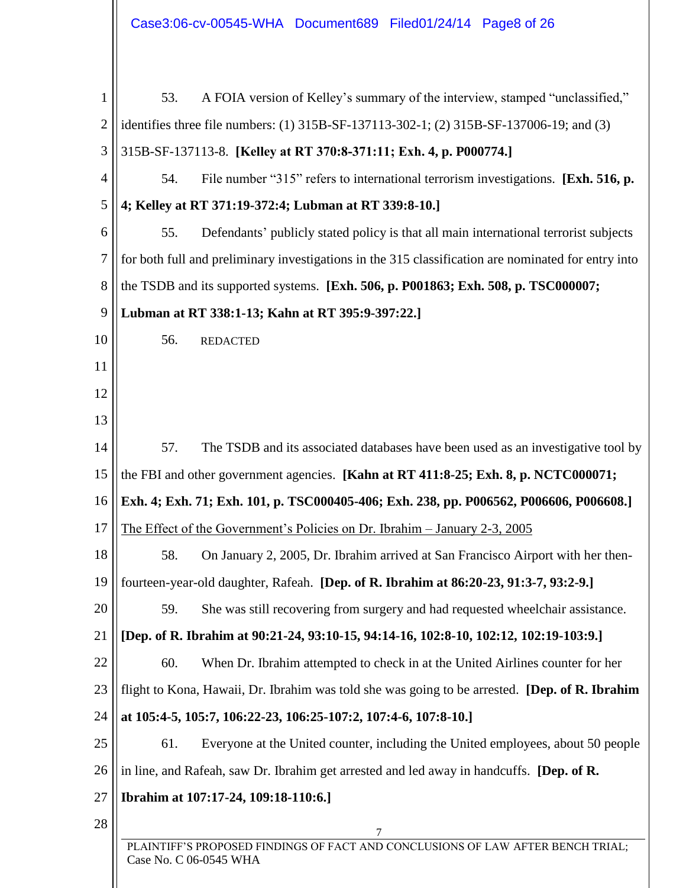| 1              | A FOIA version of Kelley's summary of the interview, stamped "unclassified,"<br>53.                       |
|----------------|-----------------------------------------------------------------------------------------------------------|
| $\overline{2}$ | identifies three file numbers: (1) 315B-SF-137113-302-1; (2) 315B-SF-137006-19; and (3)                   |
| 3              | 315B-SF-137113-8. [Kelley at RT 370:8-371:11; Exh. 4, p. P000774.]                                        |
| $\overline{4}$ | File number "315" refers to international terrorism investigations. [Exh. 516, p.<br>54.                  |
| 5              | 4; Kelley at RT 371:19-372:4; Lubman at RT 339:8-10.]                                                     |
| 6              | 55.<br>Defendants' publicly stated policy is that all main international terrorist subjects               |
| 7              | for both full and preliminary investigations in the 315 classification are nominated for entry into       |
| 8              | the TSDB and its supported systems. [Exh. 506, p. P001863; Exh. 508, p. TSC000007;                        |
| 9              | Lubman at RT 338:1-13; Kahn at RT 395:9-397:22.]                                                          |
| 10             | 56.<br><b>REDACTED</b>                                                                                    |
| 11             |                                                                                                           |
| 12             |                                                                                                           |
| 13             |                                                                                                           |
| 14             | The TSDB and its associated databases have been used as an investigative tool by<br>57.                   |
| 15             | the FBI and other government agencies. [Kahn at RT 411:8-25; Exh. 8, p. NCTC000071;                       |
| 16             | Exh. 4; Exh. 71; Exh. 101, p. TSC000405-406; Exh. 238, pp. P006562, P006606, P006608.]                    |
| 17             | The Effect of the Government's Policies on Dr. Ibrahim - January 2-3, 2005                                |
| 18             | 58.<br>On January 2, 2005, Dr. Ibrahim arrived at San Francisco Airport with her then-                    |
| 19             | fourteen-year-old daughter, Rafeah. [Dep. of R. Ibrahim at 86:20-23, 91:3-7, 93:2-9.]                     |
| 20             | She was still recovering from surgery and had requested wheelchair assistance.<br>59.                     |
| 21             | [Dep. of R. Ibrahim at 90:21-24, 93:10-15, 94:14-16, 102:8-10, 102:12, 102:19-103:9.]                     |
| 22             | 60.<br>When Dr. Ibrahim attempted to check in at the United Airlines counter for her                      |
| 23             | flight to Kona, Hawaii, Dr. Ibrahim was told she was going to be arrested. [Dep. of R. Ibrahim            |
| 24             | at 105:4-5, 105:7, 106:22-23, 106:25-107:2, 107:4-6, 107:8-10.]                                           |
| 25             | Everyone at the United counter, including the United employees, about 50 people<br>61.                    |
| 26             | in line, and Rafeah, saw Dr. Ibrahim get arrested and led away in handcuffs. [Dep. of R.                  |
| 27             | Ibrahim at 107:17-24, 109:18-110:6.]                                                                      |
| 28             | 7                                                                                                         |
|                | PLAINTIFF'S PROPOSED FINDINGS OF FACT AND CONCLUSIONS OF LAW AFTER BENCH TRIAL;<br>Case No. C 06-0545 WHA |
|                |                                                                                                           |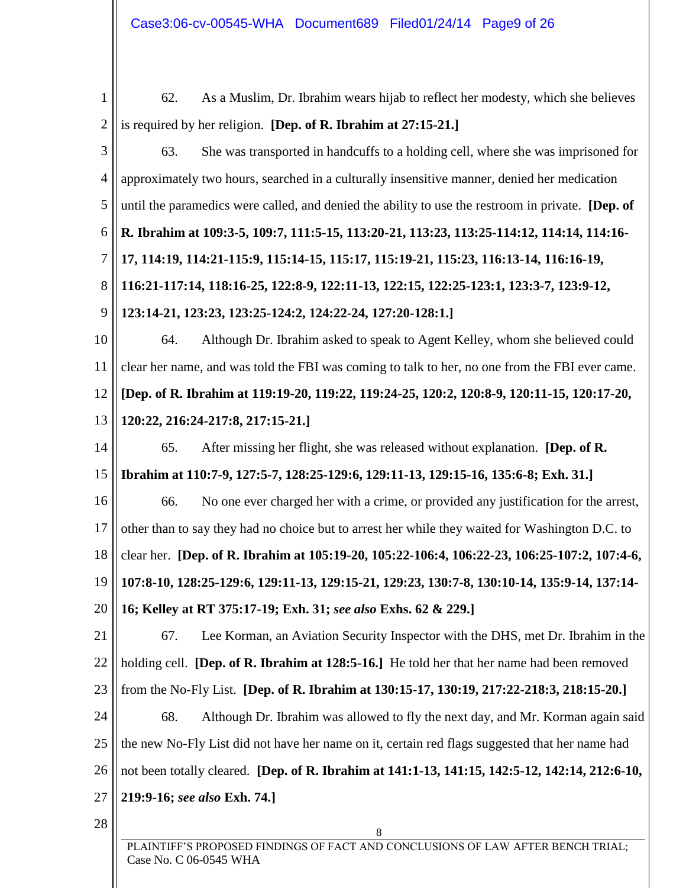8 PLAINTIFF'S PROPOSED FINDINGS OF FACT AND CONCLUSIONS OF LAW AFTER BENCH TRIAL; Case No. C 06-0545 WHA 1 2 3 4 5 6 7 8 9 10 11 12 13 14 15 16 17 18 19 20 21 22 23 24 25 26 27 28 62. As a Muslim, Dr. Ibrahim wears hijab to reflect her modesty, which she believes is required by her religion. **[Dep. of R. Ibrahim at 27:15-21.]** 63. She was transported in handcuffs to a holding cell, where she was imprisoned for approximately two hours, searched in a culturally insensitive manner, denied her medication until the paramedics were called, and denied the ability to use the restroom in private. **[Dep. of R. Ibrahim at 109:3-5, 109:7, 111:5-15, 113:20-21, 113:23, 113:25-114:12, 114:14, 114:16- 17, 114:19, 114:21-115:9, 115:14-15, 115:17, 115:19-21, 115:23, 116:13-14, 116:16-19, 116:21-117:14, 118:16-25, 122:8-9, 122:11-13, 122:15, 122:25-123:1, 123:3-7, 123:9-12, 123:14-21, 123:23, 123:25-124:2, 124:22-24, 127:20-128:1.]** 64. Although Dr. Ibrahim asked to speak to Agent Kelley, whom she believed could clear her name, and was told the FBI was coming to talk to her, no one from the FBI ever came. **[Dep. of R. Ibrahim at 119:19-20, 119:22, 119:24-25, 120:2, 120:8-9, 120:11-15, 120:17-20, 120:22, 216:24-217:8, 217:15-21.]** 65. After missing her flight, she was released without explanation. **[Dep. of R. Ibrahim at 110:7-9, 127:5-7, 128:25-129:6, 129:11-13, 129:15-16, 135:6-8; Exh. 31.]** 66. No one ever charged her with a crime, or provided any justification for the arrest, other than to say they had no choice but to arrest her while they waited for Washington D.C. to clear her. **[Dep. of R. Ibrahim at 105:19-20, 105:22-106:4, 106:22-23, 106:25-107:2, 107:4-6, 107:8-10, 128:25-129:6, 129:11-13, 129:15-21, 129:23, 130:7-8, 130:10-14, 135:9-14, 137:14- 16; Kelley at RT 375:17-19; Exh. 31;** *see also* **Exhs. 62 & 229.]** 67. Lee Korman, an Aviation Security Inspector with the DHS, met Dr. Ibrahim in the holding cell. **[Dep. of R. Ibrahim at 128:5-16.]** He told her that her name had been removed from the No-Fly List. **[Dep. of R. Ibrahim at 130:15-17, 130:19, 217:22-218:3, 218:15-20.]** 68. Although Dr. Ibrahim was allowed to fly the next day, and Mr. Korman again said the new No-Fly List did not have her name on it, certain red flags suggested that her name had not been totally cleared. **[Dep. of R. Ibrahim at 141:1-13, 141:15, 142:5-12, 142:14, 212:6-10, 219:9-16;** *see also* **Exh. 74.]**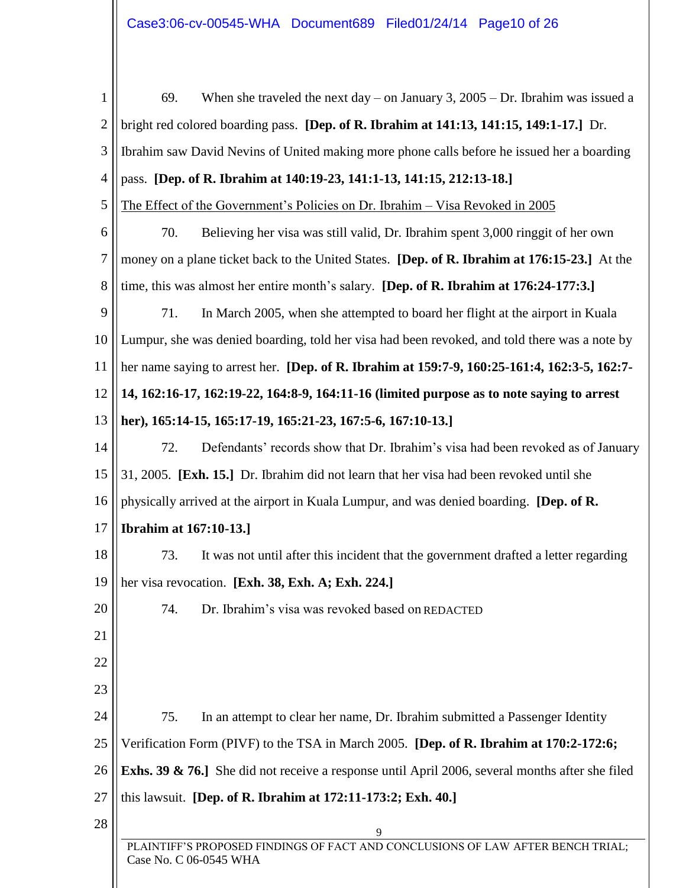| $\mathbf{1}$   | When she traveled the next day – on January 3, $2005 - Dr$ . Ibrahim was issued a<br>69.                  |
|----------------|-----------------------------------------------------------------------------------------------------------|
| $\overline{2}$ | bright red colored boarding pass. [Dep. of R. Ibrahim at 141:13, 141:15, 149:1-17.] Dr.                   |
| 3              | Ibrahim saw David Nevins of United making more phone calls before he issued her a boarding                |
| $\overline{4}$ | pass. [Dep. of R. Ibrahim at 140:19-23, 141:1-13, 141:15, 212:13-18.]                                     |
| 5              | The Effect of the Government's Policies on Dr. Ibrahim - Visa Revoked in 2005                             |
| 6              | Believing her visa was still valid, Dr. Ibrahim spent 3,000 ringgit of her own<br>70.                     |
| 7              | money on a plane ticket back to the United States. [Dep. of R. Ibrahim at 176:15-23.] At the              |
| 8              | time, this was almost her entire month's salary. [Dep. of R. Ibrahim at 176:24-177:3.]                    |
| 9              | 71.<br>In March 2005, when she attempted to board her flight at the airport in Kuala                      |
| 10             | Lumpur, she was denied boarding, told her visa had been revoked, and told there was a note by             |
| 11             | her name saying to arrest her. [Dep. of R. Ibrahim at 159:7-9, 160:25-161:4, 162:3-5, 162:7-              |
| 12             | 14, 162:16-17, 162:19-22, 164:8-9, 164:11-16 (limited purpose as to note saying to arrest                 |
| 13             | her), 165:14-15, 165:17-19, 165:21-23, 167:5-6, 167:10-13.]                                               |
| 14             | Defendants' records show that Dr. Ibrahim's visa had been revoked as of January<br>72.                    |
| 15             | 31, 2005. [Exh. 15.] Dr. Ibrahim did not learn that her visa had been revoked until she                   |
| 16             | physically arrived at the airport in Kuala Lumpur, and was denied boarding. [Dep. of R.                   |
| 17             | <b>Ibrahim at 167:10-13.</b> ]                                                                            |
| 18             | It was not until after this incident that the government drafted a letter regarding<br>73.                |
| 19             | her visa revocation. [Exh. 38, Exh. A; Exh. 224.]                                                         |
| 20             | Dr. Ibrahim's visa was revoked based on REDACTED<br>74.                                                   |
| 21             |                                                                                                           |
| 22             |                                                                                                           |
| 23             |                                                                                                           |
| 24             | 75.<br>In an attempt to clear her name, Dr. Ibrahim submitted a Passenger Identity                        |
| 25             | Verification Form (PIVF) to the TSA in March 2005. [Dep. of R. Ibrahim at 170:2-172:6;                    |
| 26             | Exhs. 39 & 76.] She did not receive a response until April 2006, several months after she filed           |
| 27             | this lawsuit. [Dep. of R. Ibrahim at 172:11-173:2; Exh. 40.]                                              |
| 28             | 9                                                                                                         |
|                | PLAINTIFF'S PROPOSED FINDINGS OF FACT AND CONCLUSIONS OF LAW AFTER BENCH TRIAL;<br>Case No. C 06-0545 WHA |
|                |                                                                                                           |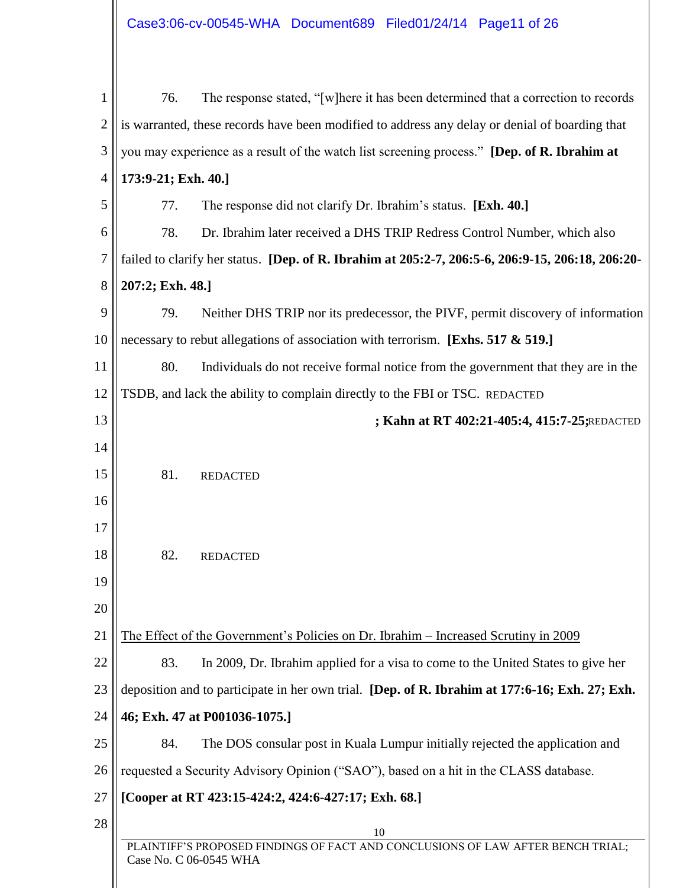| 1              | 76.                                                                                                       | The response stated, "[w] here it has been determined that a correction to records               |  |
|----------------|-----------------------------------------------------------------------------------------------------------|--------------------------------------------------------------------------------------------------|--|
| $\overline{2}$ | is warranted, these records have been modified to address any delay or denial of boarding that            |                                                                                                  |  |
| 3              | you may experience as a result of the watch list screening process." [Dep. of R. Ibrahim at               |                                                                                                  |  |
| $\overline{4}$ | 173:9-21; Exh. 40.]                                                                                       |                                                                                                  |  |
| 5              | 77.                                                                                                       | The response did not clarify Dr. Ibrahim's status. [Exh. 40.]                                    |  |
| 6              | 78.                                                                                                       | Dr. Ibrahim later received a DHS TRIP Redress Control Number, which also                         |  |
| 7              |                                                                                                           | failed to clarify her status. [Dep. of R. Ibrahim at 205:2-7, 206:5-6, 206:9-15, 206:18, 206:20- |  |
| 8              | 207:2; Exh. 48.]                                                                                          |                                                                                                  |  |
| 9              | 79.                                                                                                       | Neither DHS TRIP nor its predecessor, the PIVF, permit discovery of information                  |  |
| 10             |                                                                                                           | necessary to rebut allegations of association with terrorism. [Exhs. 517 & 519.]                 |  |
| 11             | 80.                                                                                                       | Individuals do not receive formal notice from the government that they are in the                |  |
| 12             |                                                                                                           | TSDB, and lack the ability to complain directly to the FBI or TSC. REDACTED                      |  |
| 13             |                                                                                                           | ; Kahn at RT 402:21-405:4, 415:7-25; REDACTED                                                    |  |
| 14             |                                                                                                           |                                                                                                  |  |
| 15             | 81.                                                                                                       | <b>REDACTED</b>                                                                                  |  |
| 16             |                                                                                                           |                                                                                                  |  |
| 17             |                                                                                                           |                                                                                                  |  |
| 18             | 82.                                                                                                       | <b>REDACTED</b>                                                                                  |  |
| 19             |                                                                                                           |                                                                                                  |  |
| 20             |                                                                                                           |                                                                                                  |  |
| 21             |                                                                                                           | The Effect of the Government's Policies on Dr. Ibrahim – Increased Scrutiny in 2009              |  |
| 22             | 83.                                                                                                       | In 2009, Dr. Ibrahim applied for a visa to come to the United States to give her                 |  |
| 23             |                                                                                                           | deposition and to participate in her own trial. [Dep. of R. Ibrahim at 177:6-16; Exh. 27; Exh.   |  |
| 24             |                                                                                                           | 46; Exh. 47 at P001036-1075.]                                                                    |  |
| 25             | 84.                                                                                                       | The DOS consular post in Kuala Lumpur initially rejected the application and                     |  |
| 26             |                                                                                                           | requested a Security Advisory Opinion ("SAO"), based on a hit in the CLASS database.             |  |
| 27             | [Cooper at RT 423:15-424:2, 424:6-427:17; Exh. 68.]                                                       |                                                                                                  |  |
| 28             |                                                                                                           | 10                                                                                               |  |
|                | PLAINTIFF'S PROPOSED FINDINGS OF FACT AND CONCLUSIONS OF LAW AFTER BENCH TRIAL;<br>Case No. C 06-0545 WHA |                                                                                                  |  |
|                |                                                                                                           |                                                                                                  |  |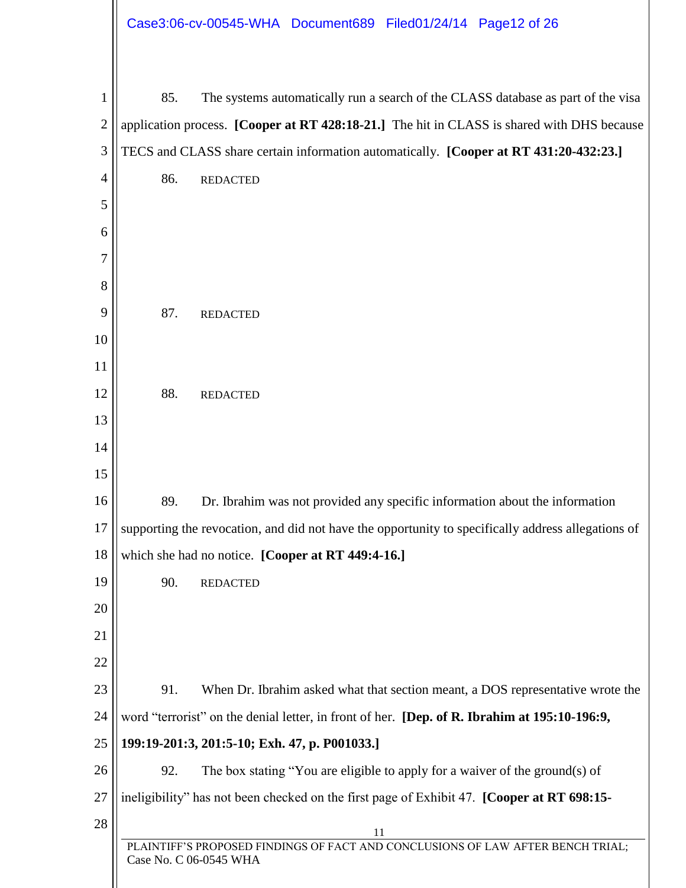|                |                        | Case3:06-cv-00545-WHA Document689 Filed01/24/14 Page12 of 26                                 |                                                                                                    |
|----------------|------------------------|----------------------------------------------------------------------------------------------|----------------------------------------------------------------------------------------------------|
| 1              | 85.                    |                                                                                              | The systems automatically run a search of the CLASS database as part of the visa                   |
| $\overline{c}$ |                        |                                                                                              | application process. [Cooper at RT 428:18-21.] The hit in CLASS is shared with DHS because         |
| 3              |                        |                                                                                              | TECS and CLASS share certain information automatically. [Cooper at RT 431:20-432:23.]              |
| 4              | 86.<br><b>REDACTED</b> |                                                                                              |                                                                                                    |
| 5              |                        |                                                                                              |                                                                                                    |
| 6              |                        |                                                                                              |                                                                                                    |
| 7              |                        |                                                                                              |                                                                                                    |
| 8              |                        |                                                                                              |                                                                                                    |
| 9              | 87.<br><b>REDACTED</b> |                                                                                              |                                                                                                    |
| 10             |                        |                                                                                              |                                                                                                    |
| 11             |                        |                                                                                              |                                                                                                    |
| 12             | 88.<br><b>REDACTED</b> |                                                                                              |                                                                                                    |
| 13             |                        |                                                                                              |                                                                                                    |
| 14             |                        |                                                                                              |                                                                                                    |
| 15             |                        |                                                                                              |                                                                                                    |
| 16             | 89.                    | Dr. Ibrahim was not provided any specific information about the information                  |                                                                                                    |
| 17             |                        |                                                                                              | supporting the revocation, and did not have the opportunity to specifically address allegations of |
| 18             |                        | which she had no notice. [Cooper at RT 449:4-16.]                                            |                                                                                                    |
| 19             | 90.<br><b>REDACTED</b> |                                                                                              |                                                                                                    |
| 20             |                        |                                                                                              |                                                                                                    |
| 21             |                        |                                                                                              |                                                                                                    |
| 22             |                        |                                                                                              |                                                                                                    |
| 23             | 91.                    |                                                                                              | When Dr. Ibrahim asked what that section meant, a DOS representative wrote the                     |
| 24             |                        | word "terrorist" on the denial letter, in front of her. [Dep. of R. Ibrahim at 195:10-196:9, |                                                                                                    |
| 25             |                        | 199:19-201:3, 201:5-10; Exh. 47, p. P001033.]                                                |                                                                                                    |
| 26             | 92.                    | The box stating "You are eligible to apply for a waiver of the ground(s) of                  |                                                                                                    |
| 27             |                        | ineligibility" has not been checked on the first page of Exhibit 47. [Cooper at RT 698:15-   |                                                                                                    |
| 28             |                        | 11                                                                                           |                                                                                                    |
|                | Case No. C 06-0545 WHA |                                                                                              | PLAINTIFF'S PROPOSED FINDINGS OF FACT AND CONCLUSIONS OF LAW AFTER BENCH TRIAL;                    |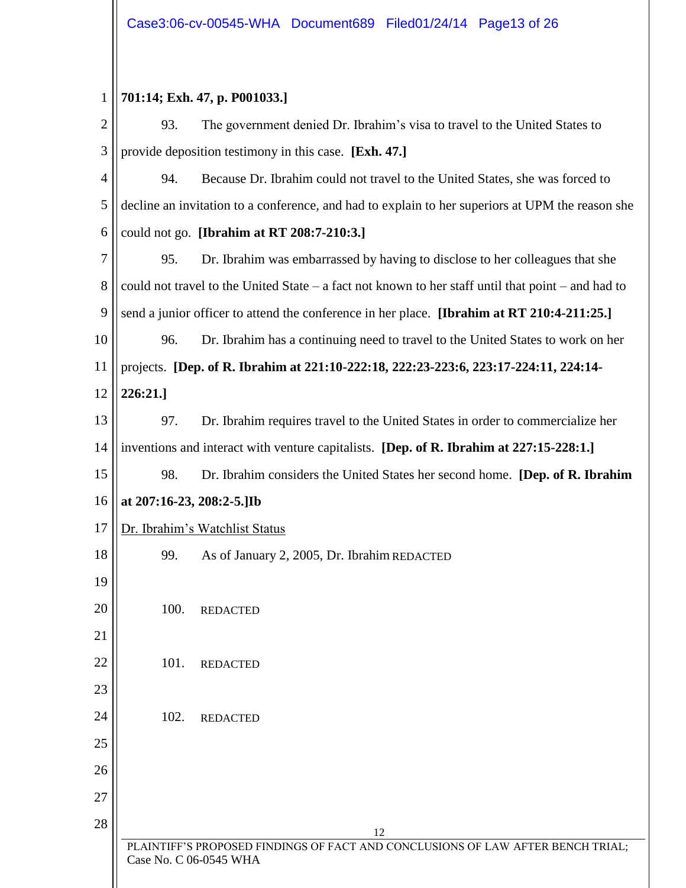### 1 **701:14; Exh. 47, p. P001033.]**

| $\overline{2}$ | 93.                                                                                 | The government denied Dr. Ibrahim's visa to travel to the United States to                         |  |
|----------------|-------------------------------------------------------------------------------------|----------------------------------------------------------------------------------------------------|--|
| 3              | provide deposition testimony in this case. [Exh. 47.]                               |                                                                                                    |  |
| $\overline{4}$ | 94.<br>Because Dr. Ibrahim could not travel to the United States, she was forced to |                                                                                                    |  |
| 5              |                                                                                     | decline an invitation to a conference, and had to explain to her superiors at UPM the reason she   |  |
| 6              |                                                                                     | could not go. [Ibrahim at RT 208:7-210:3.]                                                         |  |
| 7              | 95.                                                                                 | Dr. Ibrahim was embarrassed by having to disclose to her colleagues that she                       |  |
| 8              |                                                                                     | could not travel to the United State – a fact not known to her staff until that point – and had to |  |
| 9              |                                                                                     | send a junior officer to attend the conference in her place. [Ibrahim at RT 210:4-211:25.]         |  |
| 10             | 96.                                                                                 | Dr. Ibrahim has a continuing need to travel to the United States to work on her                    |  |
| 11             |                                                                                     | projects. [Dep. of R. Ibrahim at 221:10-222:18, 222:23-223:6, 223:17-224:11, 224:14-               |  |
| 12             | 226:21.]                                                                            |                                                                                                    |  |
| 13             | 97.                                                                                 | Dr. Ibrahim requires travel to the United States in order to commercialize her                     |  |
| 14             |                                                                                     | inventions and interact with venture capitalists. [Dep. of R. Ibrahim at 227:15-228:1.]            |  |
| 15             | 98.                                                                                 | Dr. Ibrahim considers the United States her second home. [Dep. of R. Ibrahim                       |  |
| 16             | at 207:16-23, 208:2-5.]Ib                                                           |                                                                                                    |  |
| 17             |                                                                                     | Dr. Ibrahim's Watchlist Status                                                                     |  |
| 18             | 99.                                                                                 | As of January 2, 2005, Dr. Ibrahim REDACTED                                                        |  |
| 19             |                                                                                     |                                                                                                    |  |
| 20             | 100.                                                                                | <b>REDACTED</b>                                                                                    |  |
| 21             |                                                                                     |                                                                                                    |  |
| 22             | 101.                                                                                | <b>REDACTED</b>                                                                                    |  |
| 23             |                                                                                     |                                                                                                    |  |
| 24             | 102.                                                                                | <b>REDACTED</b>                                                                                    |  |
| 25             |                                                                                     |                                                                                                    |  |
| 26             |                                                                                     |                                                                                                    |  |
| 27             |                                                                                     |                                                                                                    |  |
| 28             |                                                                                     | 12                                                                                                 |  |
|                | Case No. C 06-0545 WHA                                                              | PLAINTIFF'S PROPOSED FINDINGS OF FACT AND CONCLUSIONS OF LAW AFTER BENCH TRIAL;                    |  |
|                |                                                                                     |                                                                                                    |  |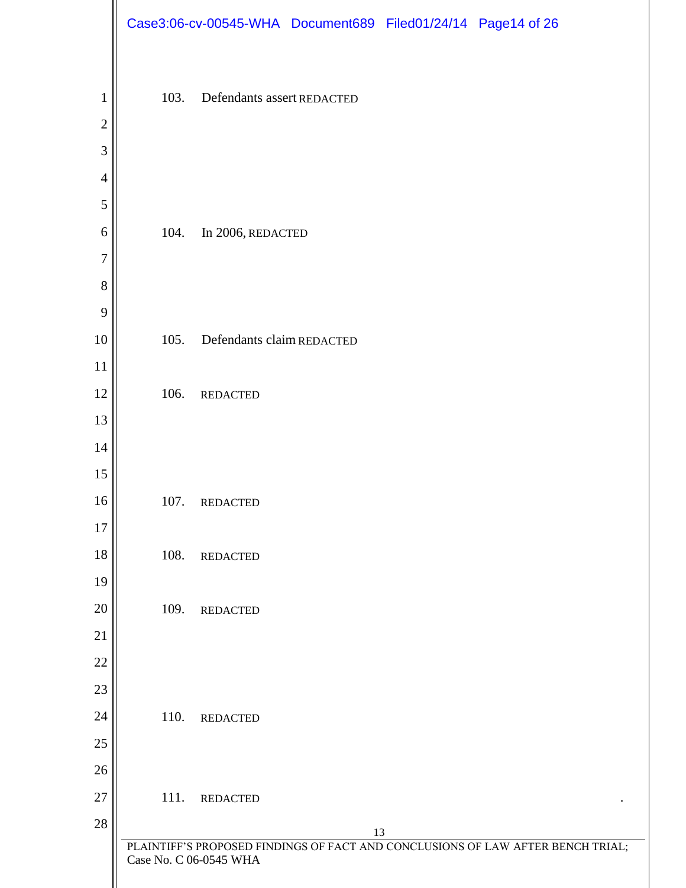|                  |      |                            | Case3:06-cv-00545-WHA Document689 Filed01/24/14 Page14 of 26 |                                                                                 |
|------------------|------|----------------------------|--------------------------------------------------------------|---------------------------------------------------------------------------------|
|                  |      |                            |                                                              |                                                                                 |
| $\mathbf{1}$     | 103. | Defendants assert REDACTED |                                                              |                                                                                 |
| $\overline{2}$   |      |                            |                                                              |                                                                                 |
| 3                |      |                            |                                                              |                                                                                 |
| $\overline{4}$   |      |                            |                                                              |                                                                                 |
| 5                |      |                            |                                                              |                                                                                 |
| 6                | 104. | In 2006, REDACTED          |                                                              |                                                                                 |
| $\boldsymbol{7}$ |      |                            |                                                              |                                                                                 |
| $8\,$            |      |                            |                                                              |                                                                                 |
| $\boldsymbol{9}$ |      |                            |                                                              |                                                                                 |
| 10               | 105. | Defendants claim REDACTED  |                                                              |                                                                                 |
| 11               |      |                            |                                                              |                                                                                 |
| 12               | 106. | <b>REDACTED</b>            |                                                              |                                                                                 |
| 13               |      |                            |                                                              |                                                                                 |
| 14               |      |                            |                                                              |                                                                                 |
| 15               |      |                            |                                                              |                                                                                 |
| 16               | 107. | <b>REDACTED</b>            |                                                              |                                                                                 |
| 17               |      |                            |                                                              |                                                                                 |
| 18               | 108. | <b>REDACTED</b>            |                                                              |                                                                                 |
| 19               |      |                            |                                                              |                                                                                 |
| 20               | 109. | <b>REDACTED</b>            |                                                              |                                                                                 |
| 21               |      |                            |                                                              |                                                                                 |
| 22               |      |                            |                                                              |                                                                                 |
| $23\,$           |      |                            |                                                              |                                                                                 |
| 24               | 110. | <b>REDACTED</b>            |                                                              |                                                                                 |
| $25\,$           |      |                            |                                                              |                                                                                 |
| 26<br>27         |      |                            |                                                              |                                                                                 |
| 28               | 111. | <b>REDACTED</b>            |                                                              |                                                                                 |
|                  |      |                            | 13                                                           | PLAINTIFF'S PROPOSED FINDINGS OF FACT AND CONCLUSIONS OF LAW AFTER BENCH TRIAL; |
|                  |      | Case No. C 06-0545 WHA     |                                                              |                                                                                 |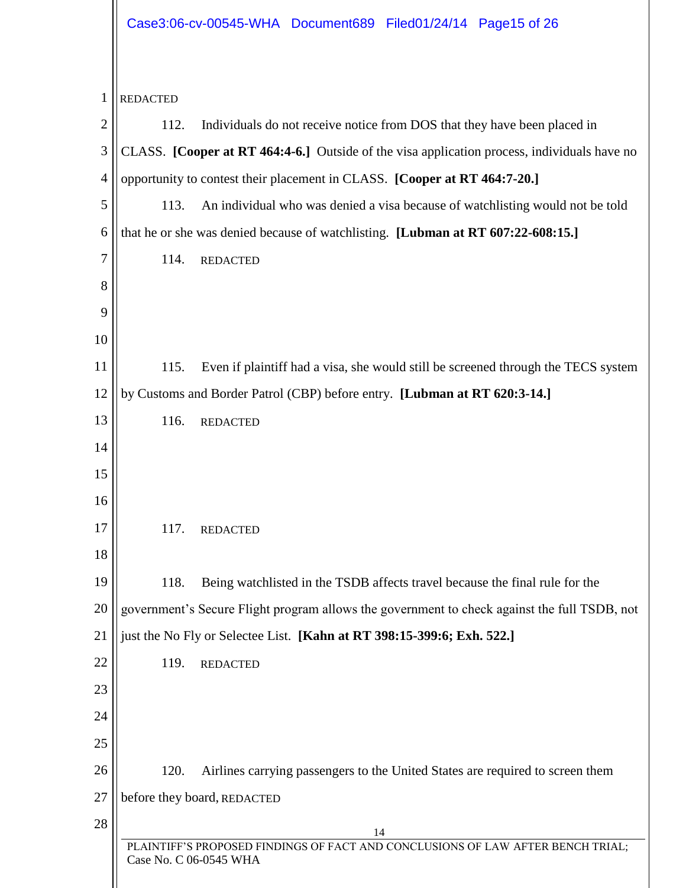## Case3:06-cv-00545-WHA Document689 Filed01/24/14 Page15 of 26

| 1              | <b>REDACTED</b>                                                                                           |
|----------------|-----------------------------------------------------------------------------------------------------------|
| $\overline{2}$ | Individuals do not receive notice from DOS that they have been placed in<br>112.                          |
| 3              | CLASS. [Cooper at RT 464:4-6.] Outside of the visa application process, individuals have no               |
| $\overline{4}$ | opportunity to contest their placement in CLASS. [Cooper at RT 464:7-20.]                                 |
| 5              | An individual who was denied a visa because of watchlisting would not be told<br>113.                     |
| 6              | that he or she was denied because of watchlisting. [Lubman at RT 607:22-608:15.]                          |
| 7              | 114.<br><b>REDACTED</b>                                                                                   |
| 8              |                                                                                                           |
| 9              |                                                                                                           |
| 10             |                                                                                                           |
| 11             | 115.<br>Even if plaintiff had a visa, she would still be screened through the TECS system                 |
| 12             | by Customs and Border Patrol (CBP) before entry. [Lubman at RT 620:3-14.]                                 |
| 13             | 116.<br><b>REDACTED</b>                                                                                   |
| 14             |                                                                                                           |
| 15             |                                                                                                           |
| 16             |                                                                                                           |
| 17             | 117.<br><b>REDACTED</b>                                                                                   |
| 18             |                                                                                                           |
| 19             | Being watchlisted in the TSDB affects travel because the final rule for the<br>118.                       |
| 20             | government's Secure Flight program allows the government to check against the full TSDB, not              |
| 21             | just the No Fly or Selectee List. [Kahn at RT 398:15-399:6; Exh. 522.]                                    |
| 22             | 119.<br><b>REDACTED</b>                                                                                   |
| 23             |                                                                                                           |
| 24             |                                                                                                           |
| 25             |                                                                                                           |
| 26             | 120.<br>Airlines carrying passengers to the United States are required to screen them                     |
| 27             | before they board, REDACTED                                                                               |
| 28             | 14                                                                                                        |
|                | PLAINTIFF'S PROPOSED FINDINGS OF FACT AND CONCLUSIONS OF LAW AFTER BENCH TRIAL;<br>Case No. C 06-0545 WHA |
|                |                                                                                                           |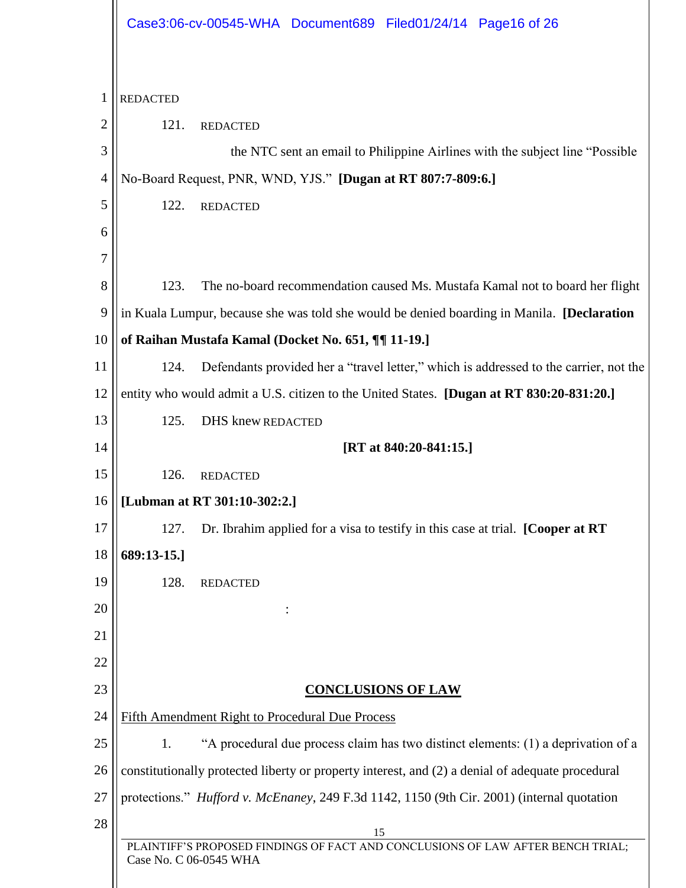|                | Case3:06-cv-00545-WHA Document689 Filed01/24/14 Page16 of 26                                              |
|----------------|-----------------------------------------------------------------------------------------------------------|
| $\mathbf{1}$   | <b>REDACTED</b>                                                                                           |
| 2              | 121.<br><b>REDACTED</b>                                                                                   |
| 3              | the NTC sent an email to Philippine Airlines with the subject line "Possible"                             |
| $\overline{4}$ | No-Board Request, PNR, WND, YJS." [Dugan at RT 807:7-809:6.]                                              |
| 5              | 122.<br><b>REDACTED</b>                                                                                   |
| 6              |                                                                                                           |
| 7              |                                                                                                           |
| 8              | 123.<br>The no-board recommendation caused Ms. Mustafa Kamal not to board her flight                      |
| 9              | in Kuala Lumpur, because she was told she would be denied boarding in Manila. [Declaration]               |
| 10             | of Raihan Mustafa Kamal (Docket No. 651, ¶¶ 11-19.]                                                       |
| 11             | Defendants provided her a "travel letter," which is addressed to the carrier, not the<br>124.             |
| 12             | entity who would admit a U.S. citizen to the United States. [Dugan at RT 830:20-831:20.]                  |
| 13             | 125.<br><b>DHS</b> knew REDACTED                                                                          |
| 14             | [RT at $840:20-841:15$ .]                                                                                 |
| 15             | 126.<br><b>REDACTED</b>                                                                                   |
|                | 16    [Lubman at RT 301:10-302:2.]                                                                        |
| 17             | Dr. Ibrahim applied for a visa to testify in this case at trial. [Cooper at RT<br>127.                    |
| 18             | 689:13-15.1                                                                                               |
| 19             | 128.<br><b>REDACTED</b>                                                                                   |
| 20             |                                                                                                           |
| 21             |                                                                                                           |
| 22             |                                                                                                           |
| 23             | <b>CONCLUSIONS OF LAW</b>                                                                                 |
| 24             | Fifth Amendment Right to Procedural Due Process                                                           |
| 25             | "A procedural due process claim has two distinct elements: (1) a deprivation of a<br>1.                   |
| 26             | constitutionally protected liberty or property interest, and (2) a denial of adequate procedural          |
| 27             | protections." <i>Hufford v. McEnaney</i> , 249 F.3d 1142, 1150 (9th Cir. 2001) (internal quotation        |
| 28             | 15                                                                                                        |
|                | PLAINTIFF'S PROPOSED FINDINGS OF FACT AND CONCLUSIONS OF LAW AFTER BENCH TRIAL;<br>Case No. C 06-0545 WHA |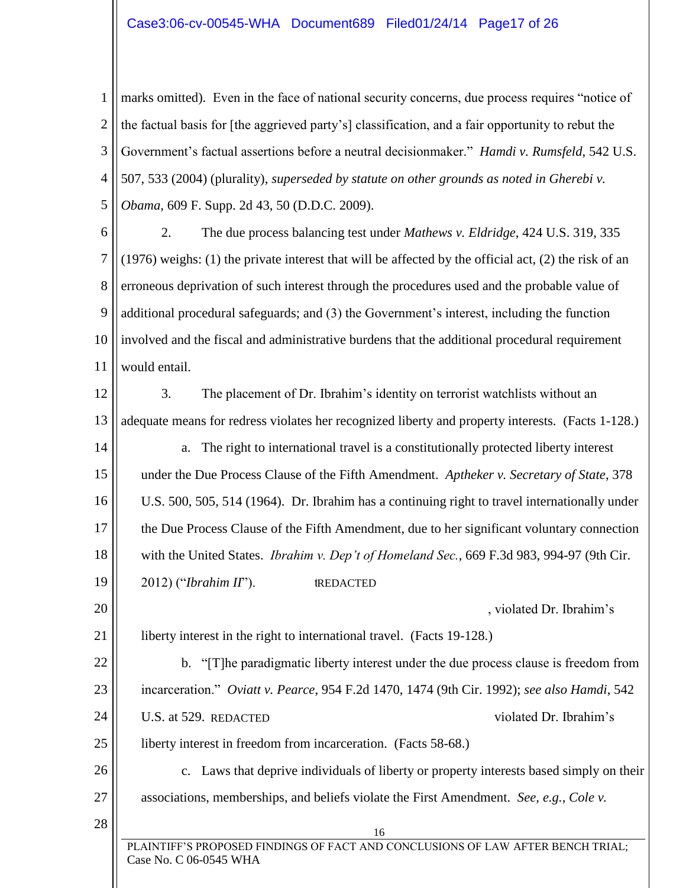#### Case3:06-cv-00545-WHA Document689 Filed01/24/14 Page17 of 26

1 2 3 4 5 marks omitted). Even in the face of national security concerns, due process requires "notice of the factual basis for [the aggrieved party's] classification, and a fair opportunity to rebut the Government's factual assertions before a neutral decisionmaker." *Hamdi v. Rumsfeld*, 542 U.S. 507, 533 (2004) (plurality), *superseded by statute on other grounds as noted in Gherebi v. Obama*, 609 F. Supp. 2d 43, 50 (D.D.C. 2009).

6 7 8 9 10 11 2. The due process balancing test under *Mathews v. Eldridge*, 424 U.S. 319, 335 (1976) weighs: (1) the private interest that will be affected by the official act, (2) the risk of an erroneous deprivation of such interest through the procedures used and the probable value of additional procedural safeguards; and (3) the Government's interest, including the function involved and the fiscal and administrative burdens that the additional procedural requirement would entail.

12 13 14 15 16 17 18 19 20 21 22 23 24 25 3. The placement of Dr. Ibrahim's identity on terrorist watchlists without an adequate means for redress violates her recognized liberty and property interests. (Facts 1-128.) a. The right to international travel is a constitutionally protected liberty interest under the Due Process Clause of the Fifth Amendment. *Aptheker v. Secretary of State*, 378 U.S. 500, 505, 514 (1964). Dr. Ibrahim has a continuing right to travel internationally under the Due Process Clause of the Fifth Amendment, due to her significant voluntary connection with the United States. *Ibrahim v. Dep't of Homeland Sec.*, 669 F.3d 983, 994-97 (9th Cir. 2012) ("*Ibrahim II*"). t , violated Dr. Ibrahim's liberty interest in the right to international travel. (Facts 19-128.) b. "[T]he paradigmatic liberty interest under the due process clause is freedom from incarceration." *Oviatt v. Pearce*, 954 F.2d 1470, 1474 (9th Cir. 1992); *see also Hamdi*, 542 U.S. at 529. REDACTED violated Dr. Ibrahim's liberty interest in freedom from incarceration. (Facts 58-68.) **IREDACTED** 

26 27 c. Laws that deprive individuals of liberty or property interests based simply on their associations, memberships, and beliefs violate the First Amendment. *See, e.g., Cole v.* 

28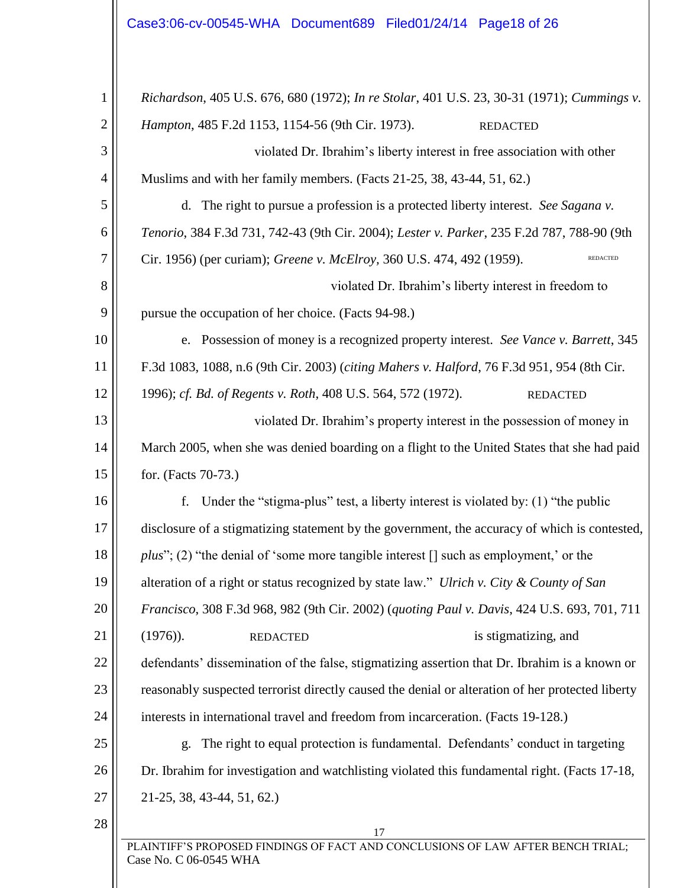| $\mathbf 1$    | Richardson, 405 U.S. 676, 680 (1972); In re Stolar, 401 U.S. 23, 30-31 (1971); Cummings v.                |
|----------------|-----------------------------------------------------------------------------------------------------------|
| $\overline{2}$ | Hampton, 485 F.2d 1153, 1154-56 (9th Cir. 1973).<br><b>REDACTED</b>                                       |
| 3              | violated Dr. Ibrahim's liberty interest in free association with other                                    |
| 4              | Muslims and with her family members. (Facts 21-25, 38, 43-44, 51, 62.)                                    |
| 5              | The right to pursue a profession is a protected liberty interest. See Sagana v.<br>d.                     |
| 6              | Tenorio, 384 F.3d 731, 742-43 (9th Cir. 2004); Lester v. Parker, 235 F.2d 787, 788-90 (9th                |
| 7              | Cir. 1956) (per curiam); Greene v. McElroy, 360 U.S. 474, 492 (1959).<br><b>REDACTED</b>                  |
| 8              | violated Dr. Ibrahim's liberty interest in freedom to                                                     |
| 9              | pursue the occupation of her choice. (Facts 94-98.)                                                       |
| 10             | e. Possession of money is a recognized property interest. See Vance v. Barrett, 345                       |
| 11             | F.3d 1083, 1088, n.6 (9th Cir. 2003) (citing Mahers v. Halford, 76 F.3d 951, 954 (8th Cir.                |
| 12             | 1996); cf. Bd. of Regents v. Roth, 408 U.S. 564, 572 (1972).<br><b>REDACTED</b>                           |
| 13             | violated Dr. Ibrahim's property interest in the possession of money in                                    |
| 14             | March 2005, when she was denied boarding on a flight to the United States that she had paid               |
| 15             | for. (Facts 70-73.)                                                                                       |
| 16             | Under the "stigma-plus" test, a liberty interest is violated by: (1) "the public<br>f.                    |
| 17             | disclosure of a stigmatizing statement by the government, the accuracy of which is contested,             |
| 18             | $plus$ "; (2) "the denial of 'some more tangible interest [] such as employment,' or the                  |
| 19             | alteration of a right or status recognized by state law." Ulrich v. City & County of San                  |
| 20             | Francisco, 308 F.3d 968, 982 (9th Cir. 2002) (quoting Paul v. Davis, 424 U.S. 693, 701, 711               |
| 21             | $(1976)$ .<br>is stigmatizing, and<br><b>REDACTED</b>                                                     |
| 22             | defendants' dissemination of the false, stigmatizing assertion that Dr. Ibrahim is a known or             |
| 23             | reasonably suspected terrorist directly caused the denial or alteration of her protected liberty          |
| 24             | interests in international travel and freedom from incarceration. (Facts 19-128.)                         |
| 25             | The right to equal protection is fundamental. Defendants' conduct in targeting<br>g.                      |
| 26             | Dr. Ibrahim for investigation and watchlisting violated this fundamental right. (Facts 17-18,             |
| 27             | $21-25, 38, 43-44, 51, 62.$                                                                               |
| 28             | 17                                                                                                        |
|                | PLAINTIFF'S PROPOSED FINDINGS OF FACT AND CONCLUSIONS OF LAW AFTER BENCH TRIAL;<br>Case No. C 06-0545 WHA |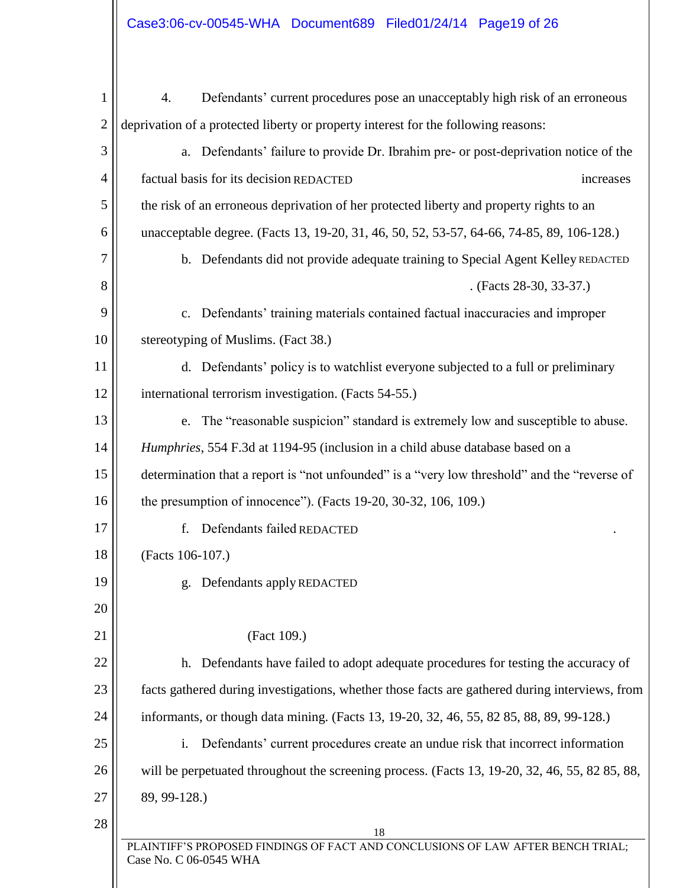| 1              | Defendants' current procedures pose an unacceptably high risk of an erroneous<br>4.                       |  |
|----------------|-----------------------------------------------------------------------------------------------------------|--|
| $\overline{2}$ | deprivation of a protected liberty or property interest for the following reasons:                        |  |
| 3              | Defendants' failure to provide Dr. Ibrahim pre- or post-deprivation notice of the<br>a.                   |  |
| $\overline{4}$ | factual basis for its decision REDACTED<br>increases                                                      |  |
| 5              | the risk of an erroneous deprivation of her protected liberty and property rights to an                   |  |
| 6              | unacceptable degree. (Facts 13, 19-20, 31, 46, 50, 52, 53-57, 64-66, 74-85, 89, 106-128.)                 |  |
| 7              | b. Defendants did not provide adequate training to Special Agent Kelley REDACTED                          |  |
| 8              | . (Facts 28-30, 33-37.)                                                                                   |  |
| 9              | Defendants' training materials contained factual inaccuracies and improper<br>$C_{\bullet}$               |  |
| 10             | stereotyping of Muslims. (Fact 38.)                                                                       |  |
| 11             | d. Defendants' policy is to watchlist everyone subjected to a full or preliminary                         |  |
| 12             | international terrorism investigation. (Facts 54-55.)                                                     |  |
| 13             | The "reasonable suspicion" standard is extremely low and susceptible to abuse.<br>e.                      |  |
| 14             | Humphries, 554 F.3d at 1194-95 (inclusion in a child abuse database based on a                            |  |
| 15             | determination that a report is "not unfounded" is a "very low threshold" and the "reverse of              |  |
| 16             | the presumption of innocence"). (Facts 19-20, 30-32, 106, 109.)                                           |  |
| 17             | Defendants failed REDACTED<br>f.                                                                          |  |
| 18             | (Facts 106-107.)                                                                                          |  |
| 19             | g. Defendants apply REDACTED                                                                              |  |
| 20             |                                                                                                           |  |
| 21             | (Fact 109.)                                                                                               |  |
| 22             | h. Defendants have failed to adopt adequate procedures for testing the accuracy of                        |  |
| 23             | facts gathered during investigations, whether those facts are gathered during interviews, from            |  |
| 24             | informants, or though data mining. (Facts 13, 19-20, 32, 46, 55, 82 85, 88, 89, 99-128.)                  |  |
| 25             | Defendants' current procedures create an undue risk that incorrect information<br>i.                      |  |
| 26             | will be perpetuated throughout the screening process. (Facts 13, 19-20, 32, 46, 55, 82 85, 88,            |  |
| 27             | 89, 99-128.)                                                                                              |  |
| 28             | 18                                                                                                        |  |
|                | PLAINTIFF'S PROPOSED FINDINGS OF FACT AND CONCLUSIONS OF LAW AFTER BENCH TRIAL;<br>Case No. C 06-0545 WHA |  |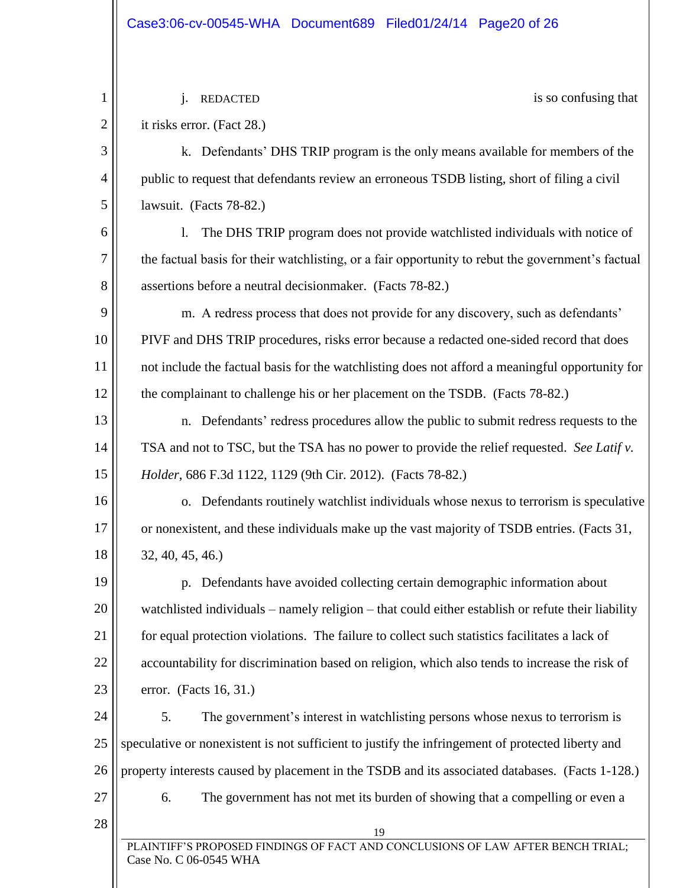19 PLAINTIFF'S PROPOSED FINDINGS OF FACT AND CONCLUSIONS OF LAW AFTER BENCH TRIAL; Case No. C 06-0545 WHA 1 2 3 4 5 6 7 8 9 10 11 12 13 14 15 16 17 18 19 20 21 22 23 24 25 26 27 28 is so confusing that it risks error. (Fact 28.) k. Defendants' DHS TRIP program is the only means available for members of the public to request that defendants review an erroneous TSDB listing, short of filing a civil lawsuit. (Facts 78-82.) l. The DHS TRIP program does not provide watchlisted individuals with notice of the factual basis for their watchlisting, or a fair opportunity to rebut the government's factual assertions before a neutral decisionmaker. (Facts 78-82.) m. A redress process that does not provide for any discovery, such as defendants' PIVF and DHS TRIP procedures, risks error because a redacted one-sided record that does not include the factual basis for the watchlisting does not afford a meaningful opportunity for the complainant to challenge his or her placement on the TSDB. (Facts 78-82.) n. Defendants' redress procedures allow the public to submit redress requests to the TSA and not to TSC, but the TSA has no power to provide the relief requested. *See Latif v. Holder*, 686 F.3d 1122, 1129 (9th Cir. 2012). (Facts 78-82.) o. Defendants routinely watchlist individuals whose nexus to terrorism is speculative or nonexistent, and these individuals make up the vast majority of TSDB entries. (Facts 31, 32, 40, 45, 46.) p. Defendants have avoided collecting certain demographic information about watchlisted individuals – namely religion – that could either establish or refute their liability for equal protection violations. The failure to collect such statistics facilitates a lack of accountability for discrimination based on religion, which also tends to increase the risk of error. (Facts 16, 31.) 5. The government's interest in watchlisting persons whose nexus to terrorism is speculative or nonexistent is not sufficient to justify the infringement of protected liberty and property interests caused by placement in the TSDB and its associated databases. (Facts 1-128.) 6. The government has not met its burden of showing that a compelling or even a j. REDACTED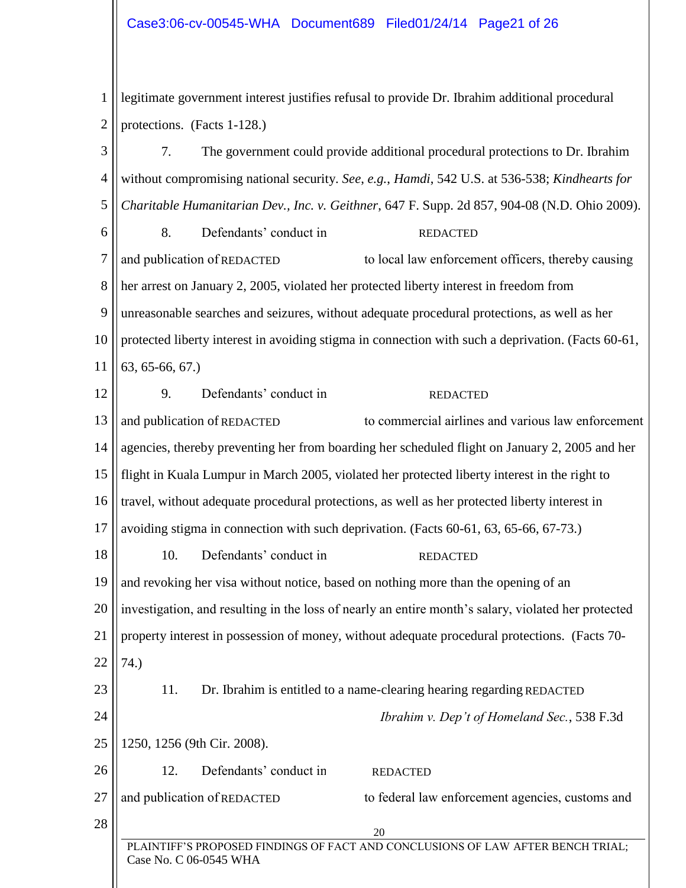#### Case3:06-cv-00545-WHA Document689 Filed01/24/14 Page21 of 26

1 2 legitimate government interest justifies refusal to provide Dr. Ibrahim additional procedural protections. (Facts 1-128.)

20 PLAINTIFF'S PROPOSED FINDINGS OF FACT AND CONCLUSIONS OF LAW AFTER BENCH TRIAL; Case No. C 06-0545 WHA 3 4 5 6 7 8 9 10 11 12 13 14 15 16 17 18 19 20 21 22 23 24 25 26 27 28 7. The government could provide additional procedural protections to Dr. Ibrahim without compromising national security. *See*, *e.g.*, *Hamdi*, 542 U.S. at 536-538; *Kindhearts for Charitable Humanitarian Dev., Inc. v. Geithner*, 647 F. Supp. 2d 857, 904-08 (N.D. Ohio 2009). 8. Defendants' conduct in to local law enforcement officers, thereby causing her arrest on January 2, 2005, violated her protected liberty interest in freedom from unreasonable searches and seizures, without adequate procedural protections, as well as her protected liberty interest in avoiding stigma in connection with such a deprivation. (Facts 60-61, 63, 65-66, 67.) 9. Defendants' conduct in to commercial airlines and various law enforcement agencies, thereby preventing her from boarding her scheduled flight on January 2, 2005 and her flight in Kuala Lumpur in March 2005, violated her protected liberty interest in the right to travel, without adequate procedural protections, as well as her protected liberty interest in avoiding stigma in connection with such deprivation. (Facts 60-61, 63, 65-66, 67-73.) 10. Defendants' conduct in and revoking her visa without notice, based on nothing more than the opening of an investigation, and resulting in the loss of nearly an entire month's salary, violated her protected property interest in possession of money, without adequate procedural protections. (Facts 70- 74.) 11. Dr. Ibrahim is entitled to a name-clearing hearing regarding REDACTED *Ibrahim v. Dep't of Homeland Sec.*, 538 F.3d 1250, 1256 (9th Cir. 2008). 12. Defendants' conduct in to federal law enforcement agencies, customs and REDACTED REDACTED REDACTED REDACTED and publication of REDACTED and publication of REDACTED and publication of REDACTED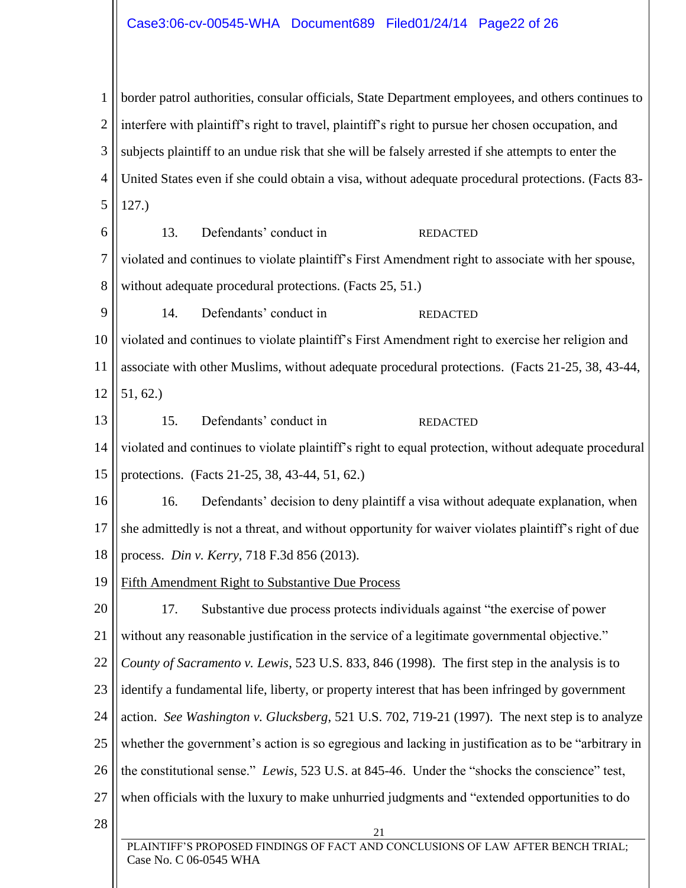#### Case3:06-cv-00545-WHA Document689 Filed01/24/14 Page22 of 26

1 2 3 4 5 6 border patrol authorities, consular officials, State Department employees, and others continues to interfere with plaintiff's right to travel, plaintiff's right to pursue her chosen occupation, and subjects plaintiff to an undue risk that she will be falsely arrested if she attempts to enter the United States even if she could obtain a visa, without adequate procedural protections. (Facts 83- 127.) 13. Defendants' conduct in REDACTED

7 8 violated and continues to violate plaintiff's First Amendment right to associate with her spouse, without adequate procedural protections. (Facts 25, 51.)

9 14. Defendants' conduct in REDACTED

10 11 12 violated and continues to violate plaintiff's First Amendment right to exercise her religion and associate with other Muslims, without adequate procedural protections. (Facts 21-25, 38, 43-44, 51, 62.)

13 15. Defendants' conduct in REDACTED

14 15 violated and continues to violate plaintiff's right to equal protection, without adequate procedural protections. (Facts 21-25, 38, 43-44, 51, 62.)

16 17 16. Defendants' decision to deny plaintiff a visa without adequate explanation, when she admittedly is not a threat, and without opportunity for waiver violates plaintiff's right of due

18 process. *Din v. Kerry*, 718 F.3d 856 (2013).

19 Fifth Amendment Right to Substantive Due Process

20 21 17. Substantive due process protects individuals against "the exercise of power without any reasonable justification in the service of a legitimate governmental objective."

22 *County of Sacramento v. Lewis*, 523 U.S. 833, 846 (1998). The first step in the analysis is to

23 identify a fundamental life, liberty, or property interest that has been infringed by government

24 action. *See Washington v. Glucksberg*, 521 U.S. 702, 719-21 (1997). The next step is to analyze

25 whether the government's action is so egregious and lacking in justification as to be "arbitrary in

26 the constitutional sense." *Lewis*, 523 U.S. at 845-46. Under the "shocks the conscience" test,

- 27 when officials with the luxury to make unhurried judgments and "extended opportunities to do
- 28

21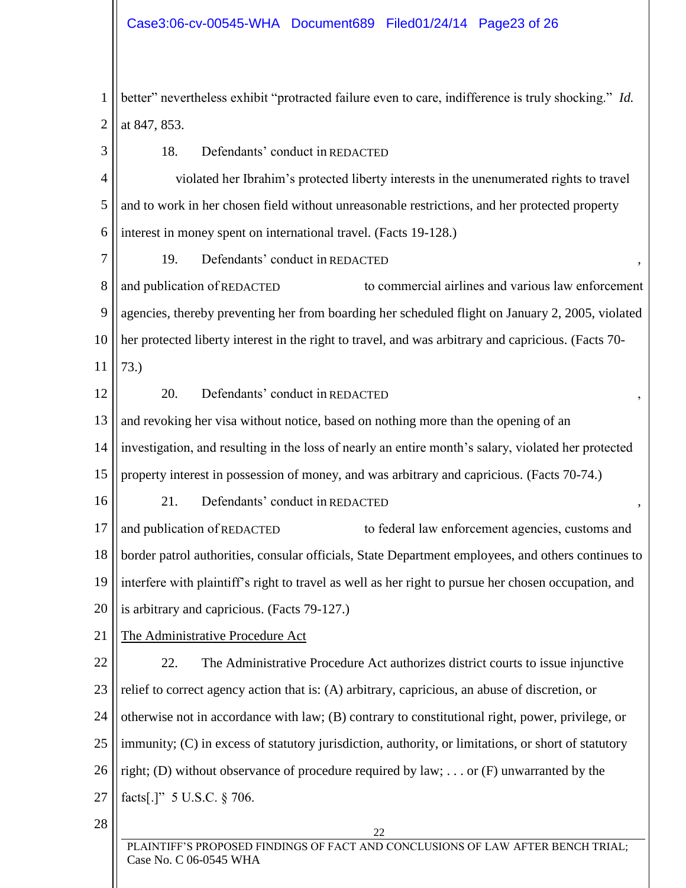1 2 better" nevertheless exhibit "protracted failure even to care, indifference is truly shocking." *Id.* at 847, 853.

22 PLAINTIFF'S PROPOSED FINDINGS OF FACT AND CONCLUSIONS OF LAW AFTER BENCH TRIAL; 3 4 5 6 7 8 9 10 11 12 13 14 15 16 17 18 19 20 21 22 23 24 25 26 27 28 18. Defendants' conduct in REDACTED violated her Ibrahim's protected liberty interests in the unenumerated rights to travel and to work in her chosen field without unreasonable restrictions, and her protected property interest in money spent on international travel. (Facts 19-128.) 19. Defendants' conduct in REDACTED (1994), and publication of REDACTED to commercial airlines and various law enforcement agencies, thereby preventing her from boarding her scheduled flight on January 2, 2005, violated her protected liberty interest in the right to travel, and was arbitrary and capricious. (Facts 70- 73.) 20. Defendants' conduct in REDACTED , and revoking her visa without notice, based on nothing more than the opening of an investigation, and resulting in the loss of nearly an entire month's salary, violated her protected property interest in possession of money, and was arbitrary and capricious. (Facts 70-74.) 21. Defendants' conduct in REDACTED to federal law enforcement agencies, customs and border patrol authorities, consular officials, State Department employees, and others continues to interfere with plaintiff's right to travel as well as her right to pursue her chosen occupation, and is arbitrary and capricious. (Facts 79-127.) The Administrative Procedure Act 22. The Administrative Procedure Act authorizes district courts to issue injunctive relief to correct agency action that is: (A) arbitrary, capricious, an abuse of discretion, or otherwise not in accordance with law; (B) contrary to constitutional right, power, privilege, or immunity; (C) in excess of statutory jurisdiction, authority, or limitations, or short of statutory right; (D) without observance of procedure required by law; . . . or (F) unwarranted by the facts[.]" 5 U.S.C. § 706. REDACTED to consider the procedure of the right to travel,<br>
reduced in the right to travel,<br>
reduced in REDACTED<br>
reduced in REDACTED<br>
resulting in the loss of nearly and<br>
resulting in the loss of nearly and<br>
reduced in RE and publication of REDACTED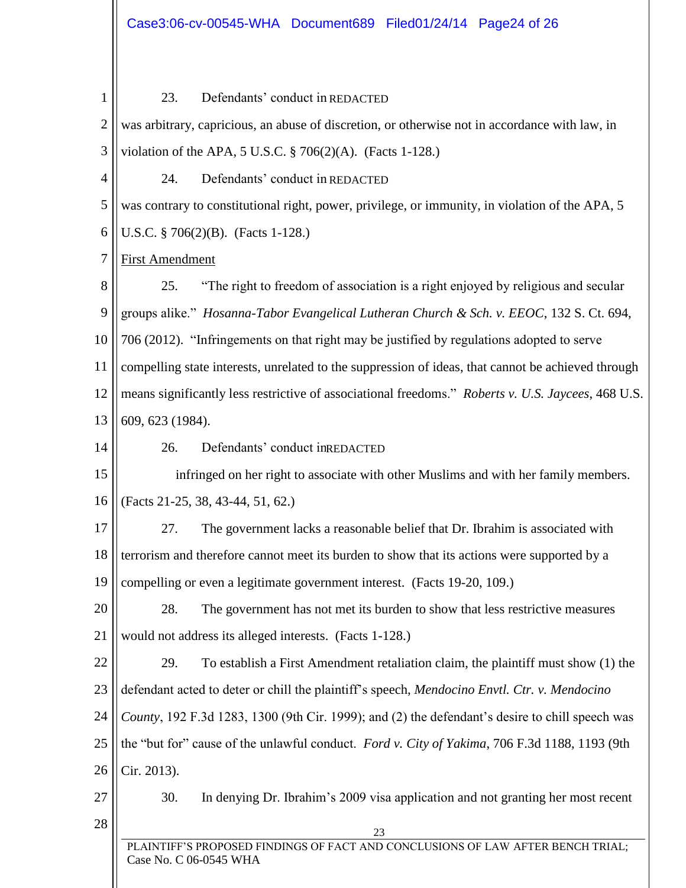| 1              | 23.<br>Defendants' conduct in REDACTED                                                                          |  |  |  |
|----------------|-----------------------------------------------------------------------------------------------------------------|--|--|--|
|                |                                                                                                                 |  |  |  |
| $\overline{2}$ | was arbitrary, capricious, an abuse of discretion, or otherwise not in accordance with law, in                  |  |  |  |
| 3              | violation of the APA, 5 U.S.C. $\S$ 706(2)(A). (Facts 1-128.)                                                   |  |  |  |
| $\overline{4}$ | Defendants' conduct in REDACTED<br>24.                                                                          |  |  |  |
| 5              | was contrary to constitutional right, power, privilege, or immunity, in violation of the APA, 5                 |  |  |  |
| 6              | U.S.C. $$706(2)(B)$ . (Facts 1-128.)                                                                            |  |  |  |
| 7              | <b>First Amendment</b>                                                                                          |  |  |  |
| 8              | "The right to freedom of association is a right enjoyed by religious and secular<br>25.                         |  |  |  |
| 9              | groups alike." Hosanna-Tabor Evangelical Lutheran Church & Sch. v. EEOC, 132 S. Ct. 694,                        |  |  |  |
| 10             | 706 (2012). "Infringements on that right may be justified by regulations adopted to serve                       |  |  |  |
| 11             | compelling state interests, unrelated to the suppression of ideas, that cannot be achieved through              |  |  |  |
| 12             | means significantly less restrictive of associational freedoms." Roberts v. U.S. Jaycees, 468 U.S.              |  |  |  |
| 13             | 609, 623 (1984).                                                                                                |  |  |  |
| 14             | 26.<br>Defendants' conduct in REDACTED                                                                          |  |  |  |
| 15             | infringed on her right to associate with other Muslims and with her family members.                             |  |  |  |
| 16             | (Facts 21-25, 38, 43-44, 51, 62.)                                                                               |  |  |  |
| 17             | 27.<br>The government lacks a reasonable belief that Dr. Ibrahim is associated with                             |  |  |  |
| 18             | terrorism and therefore cannot meet its burden to show that its actions were supported by a                     |  |  |  |
| 19             | compelling or even a legitimate government interest. (Facts 19-20, 109.)                                        |  |  |  |
| 20             | 28.<br>The government has not met its burden to show that less restrictive measures                             |  |  |  |
| 21             | would not address its alleged interests. (Facts 1-128.)                                                         |  |  |  |
| 22             | 29.<br>To establish a First Amendment retaliation claim, the plaintiff must show (1) the                        |  |  |  |
| 23             | defendant acted to deter or chill the plaintiff's speech, Mendocino Envtl. Ctr. v. Mendocino                    |  |  |  |
| 24             | County, 192 F.3d 1283, 1300 (9th Cir. 1999); and (2) the defendant's desire to chill speech was                 |  |  |  |
| 25             | the "but for" cause of the unlawful conduct. Ford v. City of Yakima, 706 F.3d 1188, 1193 (9th                   |  |  |  |
| 26             | Cir. 2013).                                                                                                     |  |  |  |
| 27             | 30.<br>In denying Dr. Ibrahim's 2009 visa application and not granting her most recent                          |  |  |  |
| 28             |                                                                                                                 |  |  |  |
|                | 23<br>PLAINTIFF'S PROPOSED FINDINGS OF FACT AND CONCLUSIONS OF LAW AFTER BENCH TRIAL;<br>Case No. C 06-0545 WHA |  |  |  |
|                |                                                                                                                 |  |  |  |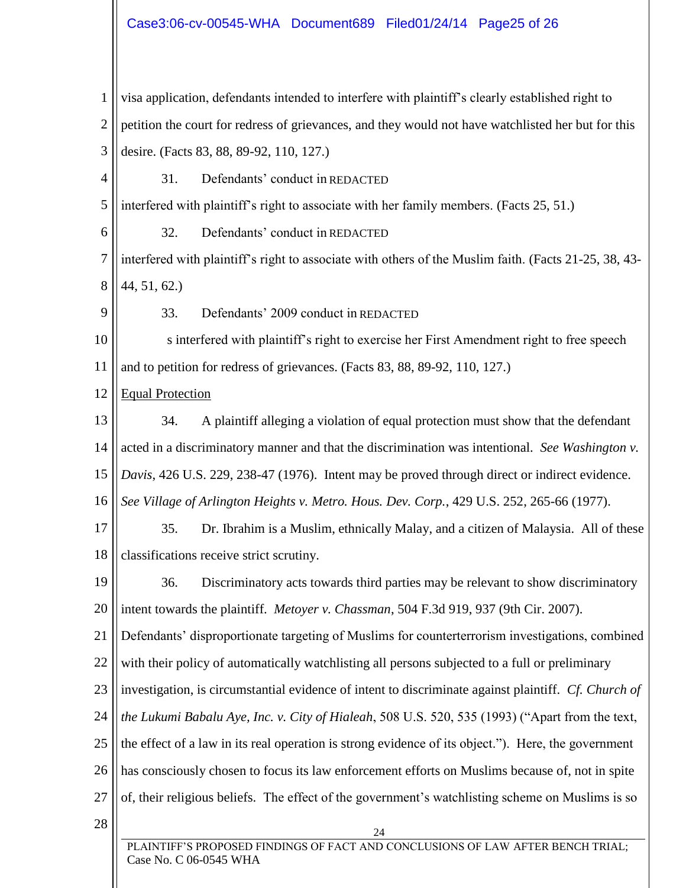#### Case3:06-cv-00545-WHA Document689 Filed01/24/14 Page25 of 26

24 PLAINTIFF'S PROPOSED FINDINGS OF FACT AND CONCLUSIONS OF LAW AFTER BENCH TRIAL; 1 2 3 4 5 6 7 8 9 10 11 12 13 14 15 16 17 18 19 20 21 22 23 24 25 26 27 28 visa application, defendants intended to interfere with plaintiff's clearly established right to petition the court for redress of grievances, and they would not have watchlisted her but for this desire. (Facts 83, 88, 89-92, 110, 127.) 31. Defendants' conduct in REDACTED interfered with plaintiff's right to associate with her family members. (Facts 25, 51.) 32. Defendants' conduct in REDACTED interfered with plaintiff's right to associate with others of the Muslim faith. (Facts 21-25, 38, 43- 44, 51, 62.) 33. Defendants' 2009 conduct in REDACTED s interfered with plaintiff's right to exercise her First Amendment right to free speech and to petition for redress of grievances. (Facts 83, 88, 89-92, 110, 127.) Equal Protection 34. A plaintiff alleging a violation of equal protection must show that the defendant acted in a discriminatory manner and that the discrimination was intentional. *See Washington v. Davis*, 426 U.S. 229, 238-47 (1976). Intent may be proved through direct or indirect evidence. *See Village of Arlington Heights v. Metro. Hous. Dev. Corp.*, 429 U.S. 252, 265-66 (1977). 35. Dr. Ibrahim is a Muslim, ethnically Malay, and a citizen of Malaysia. All of these classifications receive strict scrutiny. 36. Discriminatory acts towards third parties may be relevant to show discriminatory intent towards the plaintiff. *Metoyer v. Chassman*, 504 F.3d 919, 937 (9th Cir. 2007). Defendants' disproportionate targeting of Muslims for counterterrorism investigations, combined with their policy of automatically watchlisting all persons subjected to a full or preliminary investigation, is circumstantial evidence of intent to discriminate against plaintiff. *Cf. Church of the Lukumi Babalu Aye, Inc. v. City of Hialeah*, 508 U.S. 520, 535 (1993) ("Apart from the text, the effect of a law in its real operation is strong evidence of its object."). Here, the government has consciously chosen to focus its law enforcement efforts on Muslims because of, not in spite of, their religious beliefs. The effect of the government's watchlisting scheme on Muslims is so